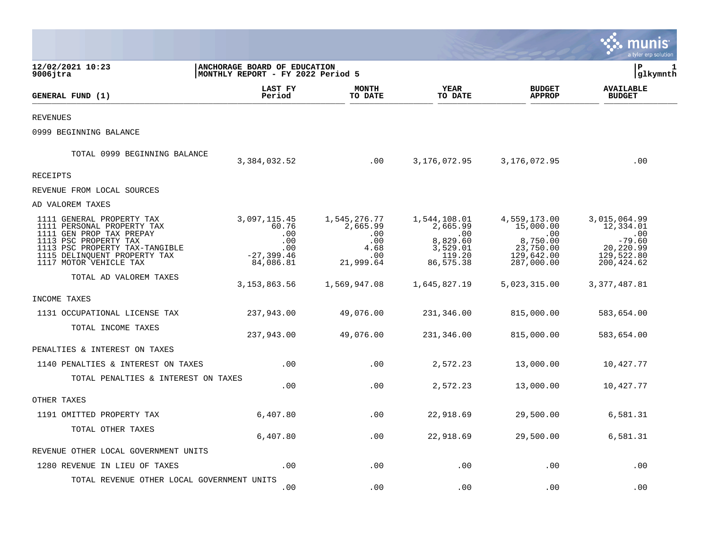|                                                                                                                   |                                                                   |                                 |                                             |                                                   | munis<br>a tyler erp solution                     |
|-------------------------------------------------------------------------------------------------------------------|-------------------------------------------------------------------|---------------------------------|---------------------------------------------|---------------------------------------------------|---------------------------------------------------|
| 12/02/2021 10:23<br>$9006$ jtra                                                                                   | ANCHORAGE BOARD OF EDUCATION<br>MONTHLY REPORT - FY 2022 Period 5 |                                 |                                             |                                                   | lР<br>1<br> glkymnth                              |
| GENERAL FUND (1)                                                                                                  | LAST FY<br>Period                                                 | <b>MONTH</b><br>TO DATE         | <b>YEAR</b><br>TO DATE                      | <b>BUDGET</b><br><b>APPROP</b>                    | <b>AVAILABLE</b><br><b>BUDGET</b>                 |
| REVENUES                                                                                                          |                                                                   |                                 |                                             |                                                   |                                                   |
| 0999 BEGINNING BALANCE                                                                                            |                                                                   |                                 |                                             |                                                   |                                                   |
| TOTAL 0999 BEGINNING BALANCE                                                                                      | 3,384,032.52                                                      | .00                             | 3,176,072.95                                | 3,176,072.95                                      | .00                                               |
| RECEIPTS                                                                                                          |                                                                   |                                 |                                             |                                                   |                                                   |
| REVENUE FROM LOCAL SOURCES                                                                                        |                                                                   |                                 |                                             |                                                   |                                                   |
| AD VALOREM TAXES                                                                                                  |                                                                   |                                 |                                             |                                                   |                                                   |
| 1111 GENERAL PROPERTY TAX<br>1111 PERSONAL PROPERTY TAX<br>1111 GEN PROP TAX PREPAY                               | 3,097,115.45<br>60.76<br>.00                                      | 1,545,276.77<br>2,665.99<br>.00 | 1,544,108.01<br>2,665.99<br>.00             | 4,559,173.00<br>15,000.00<br>.00                  | 3,015,064.99<br>12,334.01<br>.00                  |
| 1113 PSC PROPERTY TAX<br>1113 PSC PROPERTY TAX-TANGIBLE<br>1115 DELINQUENT PROPERTY TAX<br>1117 MOTOR VEHICLE TAX | .00<br>.00<br>$-27, 399.46$<br>84,086.81                          | .00<br>4.68<br>.00<br>21,999.64 | 8,829.60<br>3,529.01<br>119.20<br>86,575.38 | 8,750.00<br>23,750.00<br>129,642.00<br>287,000.00 | $-79.60$<br>20,220.99<br>129,522.80<br>200,424.62 |
| TOTAL AD VALOREM TAXES                                                                                            | 3, 153, 863.56                                                    | 1,569,947.08                    | 1,645,827.19                                | 5,023,315.00                                      | 3,377,487.81                                      |
| INCOME TAXES                                                                                                      |                                                                   |                                 |                                             |                                                   |                                                   |
| 1131 OCCUPATIONAL LICENSE TAX                                                                                     | 237,943.00                                                        | 49,076.00                       | 231,346.00                                  | 815,000.00                                        | 583,654.00                                        |
| TOTAL INCOME TAXES                                                                                                | 237,943.00                                                        | 49,076.00                       | 231,346.00                                  | 815,000.00                                        | 583,654.00                                        |
| PENALTIES & INTEREST ON TAXES                                                                                     |                                                                   |                                 |                                             |                                                   |                                                   |
| 1140 PENALTIES & INTEREST ON TAXES                                                                                | .00                                                               | .00                             | 2,572.23                                    | 13,000.00                                         | 10,427.77                                         |
| TOTAL PENALTIES & INTEREST ON TAXES                                                                               | .00                                                               | .00                             | 2,572.23                                    | 13,000.00                                         | 10,427.77                                         |
| OTHER TAXES                                                                                                       |                                                                   |                                 |                                             |                                                   |                                                   |
| 1191 OMITTED PROPERTY TAX                                                                                         | 6,407.80                                                          | .00                             | 22,918.69                                   | 29,500.00                                         | 6,581.31                                          |
| TOTAL OTHER TAXES                                                                                                 | 6,407.80                                                          | .00                             | 22,918.69                                   | 29,500.00                                         | 6,581.31                                          |
| REVENUE OTHER LOCAL GOVERNMENT UNITS                                                                              |                                                                   |                                 |                                             |                                                   |                                                   |
| 1280 REVENUE IN LIEU OF TAXES                                                                                     | .00                                                               | .00                             | .00                                         | .00                                               | .00                                               |
| TOTAL REVENUE OTHER LOCAL GOVERNMENT UNITS                                                                        | .00                                                               | .00                             | .00                                         | .00                                               | .00                                               |

 $\mathcal{L}^{\text{max}}$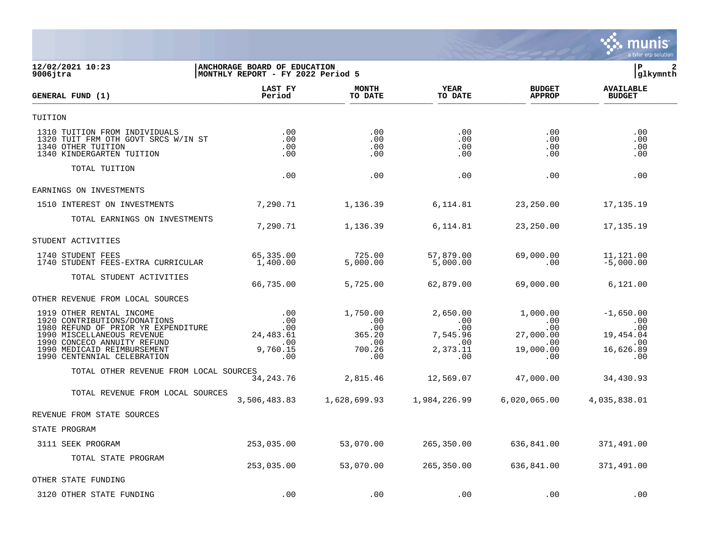

## **12/02/2021 10:23 |ANCHORAGE BOARD OF EDUCATION |P 2 9006jtra |MONTHLY REPORT - FY 2022 Period 5 |glkymnth**

| <b>GENERAL FUND (1)</b>                                                                                                                                                                     | LAST FY<br>Period                                  | <b>MONTH</b><br>TO DATE                           | <b>YEAR</b><br>TO DATE                                | <b>BUDGET</b><br><b>APPROP</b>                                       | <b>AVAILABLE</b><br><b>BUDGET</b>                          |  |
|---------------------------------------------------------------------------------------------------------------------------------------------------------------------------------------------|----------------------------------------------------|---------------------------------------------------|-------------------------------------------------------|----------------------------------------------------------------------|------------------------------------------------------------|--|
| TUITION                                                                                                                                                                                     |                                                    |                                                   |                                                       |                                                                      |                                                            |  |
| 1310 TUITION FROM INDIVIDUALS<br>1320 TUIT FRM OTH GOVT SRCS W/IN ST<br>1340 OTHER TUITION<br>1340 KINDERGARTEN TUITION                                                                     | .00<br>.00<br>.00<br>.00                           | .00<br>.00<br>.00<br>.00                          | .00<br>.00<br>.00<br>.00                              | .00<br>.00<br>.00<br>$.00 \,$                                        | .00<br>.00<br>.00<br>.00                                   |  |
| TOTAL TUITION                                                                                                                                                                               | .00                                                | .00                                               | .00                                                   | .00                                                                  | .00                                                        |  |
| EARNINGS ON INVESTMENTS                                                                                                                                                                     |                                                    |                                                   |                                                       |                                                                      |                                                            |  |
| 1510 INTEREST ON INVESTMENTS                                                                                                                                                                | 7,290.71                                           | 1,136.39                                          | 6,114.81                                              | 23,250.00                                                            | 17,135.19                                                  |  |
| TOTAL EARNINGS ON INVESTMENTS                                                                                                                                                               |                                                    |                                                   |                                                       |                                                                      |                                                            |  |
|                                                                                                                                                                                             | 7,290.71                                           | 1,136.39                                          | 6,114.81                                              | 23,250.00                                                            | 17,135.19                                                  |  |
| STUDENT ACTIVITIES                                                                                                                                                                          |                                                    |                                                   |                                                       |                                                                      |                                                            |  |
| 1740 STUDENT FEES<br>1740 STUDENT FEES-EXTRA CURRICULAR                                                                                                                                     | 65,335.00<br>1,400.00                              | 725.00<br>5,000.00                                | 57,879.00<br>5,000.00                                 | 69,000.00<br>.00                                                     | 11,121.00<br>$-5,000.00$                                   |  |
| TOTAL STUDENT ACTIVITIES                                                                                                                                                                    | 66,735.00                                          | 5,725.00                                          | 62,879.00                                             | 69,000.00                                                            | 6,121.00                                                   |  |
| OTHER REVENUE FROM LOCAL SOURCES                                                                                                                                                            |                                                    |                                                   |                                                       |                                                                      |                                                            |  |
| 1919 OTHER RENTAL INCOME<br>1920 CONTRIBUTIONS/DONATIONS<br>1980 REFUND OF PRIOR YR EXPENDITURE<br>1990 MISCELLANEOUS REVENUE<br>1990 CONCECO ANNUITY REFUND<br>1990 MEDICAID REIMBURSEMENT | .00<br>.00<br>.00<br>24, 483.61<br>.00<br>9,760.15 | 1,750.00<br>.00<br>.00<br>365.20<br>.00<br>700.26 | 2,650.00<br>.00<br>.00<br>7,545.96<br>.00<br>2,373.11 | 1,000.00<br>$.00 \ \rm$<br>.00<br>27,000.00<br>$.00 \,$<br>19,000.00 | $-1,650.00$<br>.00<br>.00<br>19,454.04<br>.00<br>16,626.89 |  |
| 1990 CENTENNIAL CELEBRATION                                                                                                                                                                 | .00                                                | .00                                               | .00                                                   | $.00 \,$                                                             | .00                                                        |  |
| TOTAL OTHER REVENUE FROM LOCAL SOURCES                                                                                                                                                      | 34, 243. 76                                        | 2,815.46                                          | 12,569.07                                             | 47,000.00                                                            | 34,430.93                                                  |  |
| TOTAL REVENUE FROM LOCAL SOURCES                                                                                                                                                            | 3,506,483.83                                       | 1,628,699.93                                      | 1,984,226.99                                          | 6,020,065.00                                                         | 4,035,838.01                                               |  |
| REVENUE FROM STATE SOURCES                                                                                                                                                                  |                                                    |                                                   |                                                       |                                                                      |                                                            |  |
| STATE PROGRAM                                                                                                                                                                               |                                                    |                                                   |                                                       |                                                                      |                                                            |  |
| 3111 SEEK PROGRAM                                                                                                                                                                           | 253,035.00                                         | 53,070.00                                         | 265,350.00                                            | 636,841.00                                                           | 371,491.00                                                 |  |
| TOTAL STATE PROGRAM                                                                                                                                                                         | 253,035.00                                         | 53,070.00                                         | 265,350.00                                            | 636,841.00                                                           | 371,491.00                                                 |  |
| OTHER STATE FUNDING                                                                                                                                                                         |                                                    |                                                   |                                                       |                                                                      |                                                            |  |
| 3120 OTHER STATE FUNDING                                                                                                                                                                    | .00                                                | .00                                               | .00                                                   | .00                                                                  | .00                                                        |  |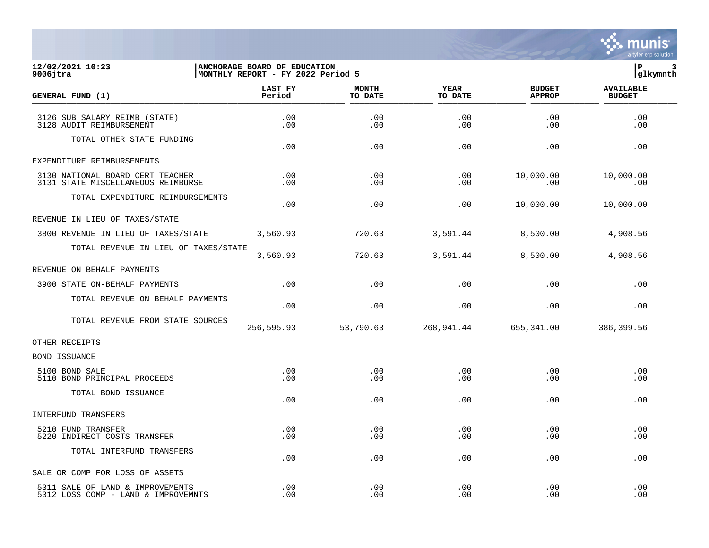

## **12/02/2021 10:23 |ANCHORAGE BOARD OF EDUCATION |P 3 9006jtra |MONTHLY REPORT - FY 2022 Period 5 |glkymnth**

| GENERAL FUND (1)                                                        | LAST FY<br>Period | <b>MONTH</b><br>TO DATE | <b>YEAR</b><br>TO DATE | <b>BUDGET</b><br><b>APPROP</b> | <b>AVAILABLE</b><br><b>BUDGET</b> |  |
|-------------------------------------------------------------------------|-------------------|-------------------------|------------------------|--------------------------------|-----------------------------------|--|
| 3126 SUB SALARY REIMB (STATE)<br>3128 AUDIT REIMBURSEMENT               | .00<br>.00        | .00<br>.00              | .00<br>.00             | .00<br>.00                     | .00<br>.00                        |  |
| TOTAL OTHER STATE FUNDING                                               | .00               | .00                     | .00                    | .00                            | .00                               |  |
| EXPENDITURE REIMBURSEMENTS                                              |                   |                         |                        |                                |                                   |  |
| 3130 NATIONAL BOARD CERT TEACHER<br>3131 STATE MISCELLANEOUS REIMBURSE  | .00<br>$.00 \,$   | .00<br>.00              | .00<br>.00             | 10,000.00<br>.00               | 10,000.00<br>.00                  |  |
| TOTAL EXPENDITURE REIMBURSEMENTS                                        | .00               | .00                     | .00                    | 10,000.00                      | 10,000.00                         |  |
| REVENUE IN LIEU OF TAXES/STATE                                          |                   |                         |                        |                                |                                   |  |
| 3800 REVENUE IN LIEU OF TAXES/STATE                                     | 3,560.93          | 720.63                  | 3,591.44               | 8,500.00                       | 4,908.56                          |  |
| TOTAL REVENUE IN LIEU OF TAXES/STATE                                    | 3,560.93          | 720.63                  | 3,591.44               | 8,500.00                       | 4,908.56                          |  |
| REVENUE ON BEHALF PAYMENTS                                              |                   |                         |                        |                                |                                   |  |
| 3900 STATE ON-BEHALF PAYMENTS                                           | .00               | .00                     | .00                    | .00                            | .00                               |  |
| TOTAL REVENUE ON BEHALF PAYMENTS                                        | .00               | .00                     | .00                    | .00                            | .00                               |  |
| TOTAL REVENUE FROM STATE SOURCES                                        | 256,595.93        | 53,790.63               | 268,941.44             | 655,341.00                     | 386,399.56                        |  |
| OTHER RECEIPTS                                                          |                   |                         |                        |                                |                                   |  |
| <b>BOND ISSUANCE</b>                                                    |                   |                         |                        |                                |                                   |  |
| 5100 BOND SALE<br>5110 BOND PRINCIPAL PROCEEDS                          | $.00 \ \,$<br>.00 | .00<br>.00              | .00<br>.00.            | .00<br>.00                     | .00<br>.00                        |  |
| TOTAL BOND ISSUANCE                                                     | .00               | .00                     | .00                    | .00                            | .00                               |  |
| INTERFUND TRANSFERS                                                     |                   |                         |                        |                                |                                   |  |
| 5210 FUND TRANSFER<br>5220 INDIRECT COSTS TRANSFER                      | .00<br>.00        | .00<br>.00              | .00<br>.00             | .00<br>.00                     | .00<br>.00                        |  |
| TOTAL INTERFUND TRANSFERS                                               | .00               | .00                     | .00                    | .00                            | .00                               |  |
| SALE OR COMP FOR LOSS OF ASSETS                                         |                   |                         |                        |                                |                                   |  |
| 5311 SALE OF LAND & IMPROVEMENTS<br>5312 LOSS COMP - LAND & IMPROVEMNTS | .00<br>.00        | .00<br>.00              | .00<br>.00             | .00<br>.00                     | .00<br>.00                        |  |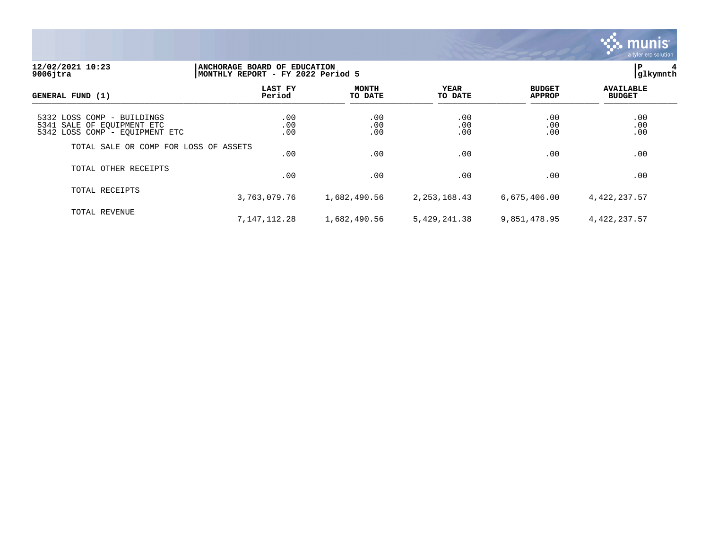

## **12/02/2021 10:23 |ANCHORAGE BOARD OF EDUCATION |P 4 9006jtra |MONTHLY REPORT - FY 2022 Period 5 |glkymnth**

| GENERAL FUND (1)                                                                           | LAST FY<br>Period | <b>MONTH</b><br>TO DATE | YEAR<br>TO DATE   | <b>BUDGET</b><br><b>APPROP</b> | <b>AVAILABLE</b><br><b>BUDGET</b> |
|--------------------------------------------------------------------------------------------|-------------------|-------------------------|-------------------|--------------------------------|-----------------------------------|
| 5332 LOSS COMP - BUILDINGS<br>5341 SALE OF EQUIPMENT ETC<br>5342 LOSS COMP - EQUIPMENT ETC | .00<br>.00<br>.00 | .00<br>.00<br>.00       | .00<br>.00<br>.00 | .00<br>.00<br>.00              | .00<br>.00<br>.00                 |
| TOTAL SALE OR COMP FOR LOSS OF ASSETS                                                      | .00               | .00                     | .00               | .00                            | .00                               |
| TOTAL OTHER RECEIPTS                                                                       | .00               | .00                     | .00               | .00                            | .00                               |
| TOTAL RECEIPTS                                                                             | 3,763,079.76      | 1,682,490.56            | 2, 253, 168.43    | 6,675,406.00                   | 4,422,237.57                      |
| TOTAL REVENUE                                                                              | 7,147,112.28      | 1,682,490.56            | 5,429,241.38      | 9,851,478.95                   | 4,422,237.57                      |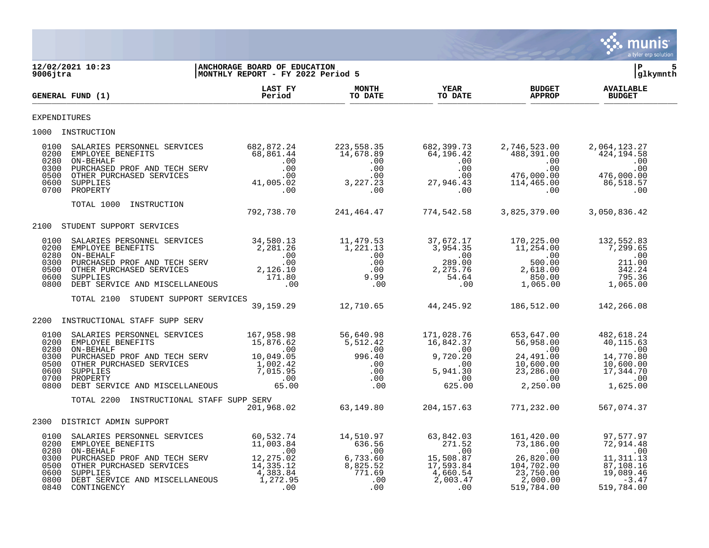

| 9006jtra                                                     | 12/02/2021 10:23                                                                                                                                                                                                                                                                                                                                     | <b>ANCHORAGE BOARD OF EDUCATION</b><br>MONTHLY REPORT - FY 2022 Period 5 |                                                     |                        |                                | ΙP<br> glkymnth                   | 5 |
|--------------------------------------------------------------|------------------------------------------------------------------------------------------------------------------------------------------------------------------------------------------------------------------------------------------------------------------------------------------------------------------------------------------------------|--------------------------------------------------------------------------|-----------------------------------------------------|------------------------|--------------------------------|-----------------------------------|---|
|                                                              | GENERAL FUND (1)                                                                                                                                                                                                                                                                                                                                     | LAST FY<br>Period                                                        | <b>MONTH</b><br>TO DATE                             | <b>YEAR</b><br>TO DATE | <b>BUDGET</b><br><b>APPROP</b> | <b>AVAILABLE</b><br><b>BUDGET</b> |   |
| <b>EXPENDITURES</b>                                          |                                                                                                                                                                                                                                                                                                                                                      |                                                                          |                                                     |                        |                                |                                   |   |
|                                                              | 1000 INSTRUCTION                                                                                                                                                                                                                                                                                                                                     |                                                                          |                                                     |                        |                                |                                   |   |
|                                                              | $\begin{array}{cccccccc} 0100 & \texttt{SALARIES } \texttt{BERSONNEL} & \texttt{SERVICES} & 682,872.24 & 223,558.35 & 682,399.73 & 2,746,523.00 & 2,064,123.27 \\ 0200 & \texttt{EMPLOYEE } \texttt{BENEFTTS} & 68,861.44 & 14,678.89 & 64,196.42 & 488,391.00 & 424,194.58 \\ 0300 & \texttt{NPECHALED } \texttt{PREH D} & 0.00 & $                 |                                                                          |                                                     |                        |                                |                                   |   |
|                                                              |                                                                                                                                                                                                                                                                                                                                                      |                                                                          |                                                     |                        |                                |                                   |   |
| 2100                                                         | STUDENT SUPPORT SERVICES                                                                                                                                                                                                                                                                                                                             |                                                                          |                                                     |                        |                                |                                   |   |
| 0100<br>0200<br>0280<br>0300<br>0500<br>0600                 |                                                                                                                                                                                                                                                                                                                                                      |                                                                          |                                                     |                        |                                |                                   |   |
| 0800                                                         |                                                                                                                                                                                                                                                                                                                                                      |                                                                          |                                                     |                        |                                |                                   |   |
|                                                              | TOTAL 2100 STUDENT SUPPORT SERVICES                                                                                                                                                                                                                                                                                                                  |                                                                          | 39,159.29 12,710.65 44,245.92 186,512.00 142,266.08 |                        |                                |                                   |   |
| 2200                                                         | INSTRUCTIONAL STAFF SUPP SERV                                                                                                                                                                                                                                                                                                                        |                                                                          |                                                     |                        |                                |                                   |   |
| 0100<br>0200<br>0280<br>0300<br>0500<br>0600<br>0700<br>0800 | 3ALARIES PERSONNEL SERVICES $\begin{array}{lcccccc} \texttt{SALARIES} & \texttt{BERSONNEL} & \texttt{SERVICES} & \texttt{167,958.98} & \texttt{56,640.98} & \texttt{171,028.76} & \texttt{653,647.00} & \texttt{482,618.24} \\ \texttt{EMPLOYEE} & \texttt{BENEFTTS} & \texttt{15,876.62} & \texttt{5,512.42} & \texttt{16,842.37} & \texttt{56,958$ |                                                                          |                                                     |                        |                                |                                   |   |
|                                                              | TOTAL 2200<br>INSTRUCTIONAL STAFF SUPP SERV                                                                                                                                                                                                                                                                                                          |                                                                          |                                                     |                        |                                |                                   |   |
|                                                              | 2300 DISTRICT ADMIN SUPPORT                                                                                                                                                                                                                                                                                                                          |                                                                          |                                                     |                        |                                |                                   |   |
| 0100<br>0200<br>0280<br>0300<br>0500<br>0600<br>0800<br>0840 | 3ALARIES PERSONNEL SERVICES $\begin{array}{cccccc} 60,532.74 & 14,510.97 & 63,842.03 & 161,420.00 & 97,577.97 \\ \texttt{EMPLOYE BENEFITS} & 11,003.84 & 636.56 & 271.52 & 73,186.00 & 72,914.48 \\ \texttt{ON-BEHALF} & .00 & .00 & .00 & .00 & .00 \\ \texttt{DURCHASED PROF AND TECH SERVICES} & 14,335.12 & 8,$<br>ON-BEHALF                     |                                                                          |                                                     |                        |                                |                                   |   |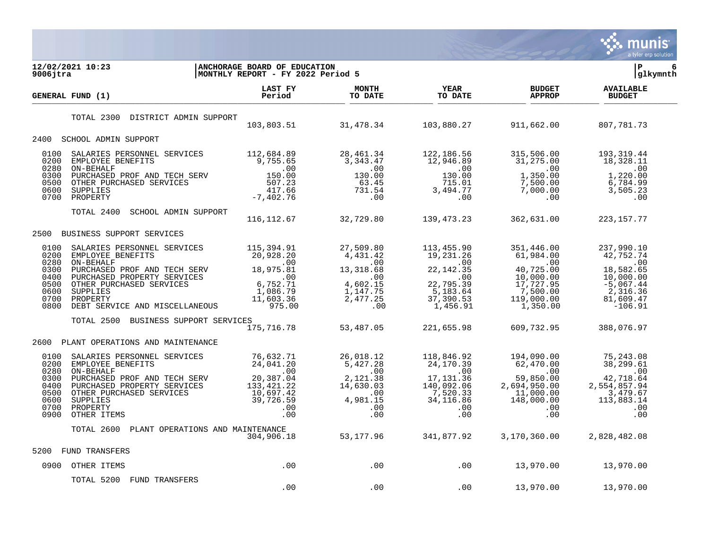

| 12/02/2021 10:23<br>$9006$ jtra                                                                                                                                                                                                                                                               | ANCHORAGE BOARD OF EDUCATION<br>MONTHLY REPORT - FY 2022 Period 5 |                                    |                        |                                                        | l P<br>6<br> glkymnth             |
|-----------------------------------------------------------------------------------------------------------------------------------------------------------------------------------------------------------------------------------------------------------------------------------------------|-------------------------------------------------------------------|------------------------------------|------------------------|--------------------------------------------------------|-----------------------------------|
| <b>GENERAL FUND (1)</b>                                                                                                                                                                                                                                                                       | LAST FY<br>Period                                                 | <b>MONTH</b><br>TO DATE            | <b>YEAR</b><br>TO DATE | <b>BUDGET</b><br><b>APPROP</b>                         | <b>AVAILABLE</b><br><b>BUDGET</b> |
| TOTAL 2300<br>DISTRICT ADMIN SUPPORT                                                                                                                                                                                                                                                          |                                                                   |                                    |                        | 103,803.51 31,478.34 103,880.27 911,662.00 807,781.73  |                                   |
| 2400 SCHOOL ADMIN SUPPORT                                                                                                                                                                                                                                                                     |                                                                   |                                    |                        |                                                        |                                   |
| 3ALARIES PERSONNEL SERVICES 112,684.89<br>EMPLOYEE BENEFITS 9,755.65 3,343.47 122,186.56 315,506.00 193,319.44<br>ON-BEHALF PURCHASED PROF AND TECH SERV<br>DURCHASED PROF AND TECH SERV<br>20.00 10.00 10.00 10.00 10.00 10.00 10.00<br>0100<br>0200<br>0280<br>0300<br>0500<br>0600<br>0700 |                                                                   |                                    |                        |                                                        |                                   |
| TOTAL 2400<br>SCHOOL ADMIN SUPPORT                                                                                                                                                                                                                                                            |                                                                   | 116, 112.67 32, 729.80 139, 473.23 |                        | 362,631.00                                             | 223, 157. 77                      |
| 2500<br>BUSINESS SUPPORT SERVICES                                                                                                                                                                                                                                                             |                                                                   |                                    |                        |                                                        |                                   |
| SALARIES PERSONNEL SERVICES 115,394.91<br>0100<br>0200<br>0280<br>0300<br>0400<br>0500<br>0600<br>0700<br>0800                                                                                                                                                                                |                                                                   | 27,509.80                          |                        | 351,446.00                                             |                                   |
| TOTAL 2500<br>BUSINESS SUPPORT SERVICES                                                                                                                                                                                                                                                       | 175, 716. 78                                                      | 53,487.05                          | 221,655.98             | 609,732.95                                             | 388,076.97                        |
| 2600<br>PLANT OPERATIONS AND MAINTENANCE                                                                                                                                                                                                                                                      |                                                                   |                                    |                        |                                                        |                                   |
| 0100<br>0200<br>0280<br>0300<br>0400<br>0500<br>0600<br>0700<br>0900                                                                                                                                                                                                                          |                                                                   |                                    |                        |                                                        |                                   |
| TOTAL 2600 PLANT OPERATIONS AND MAINTENANCE                                                                                                                                                                                                                                                   | 304,906.18                                                        |                                    |                        | $53,177.96$ $341,877.92$ $3,170,360.00$ $2,828,482.08$ |                                   |
| 5200<br>FUND TRANSFERS                                                                                                                                                                                                                                                                        |                                                                   |                                    |                        |                                                        |                                   |
| 0900 OTHER ITEMS                                                                                                                                                                                                                                                                              | .00                                                               |                                    |                        | $13,970.00$ $13,970.00$ $13,970.00$                    |                                   |
| TOTAL 5200 FUND TRANSFERS                                                                                                                                                                                                                                                                     | .00                                                               | .00                                | .00                    | 13,970.00                                              | 13,970.00                         |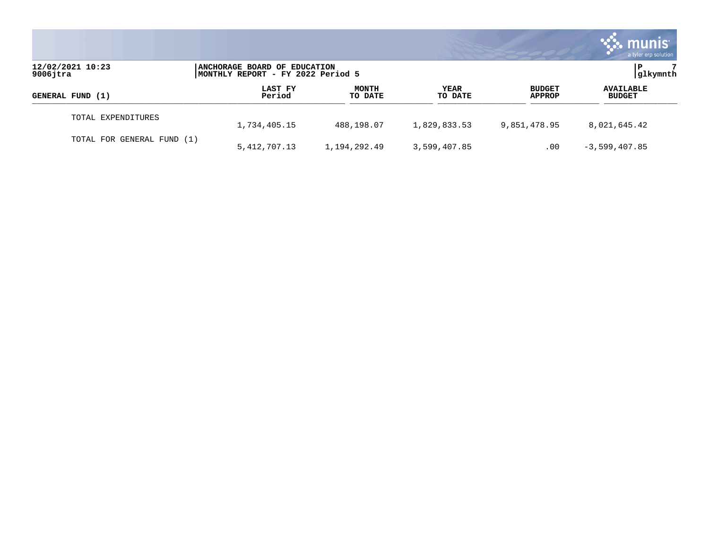|                                 |                                                                   |                         |                 |                                | munis<br>a tyler erp solution     |
|---------------------------------|-------------------------------------------------------------------|-------------------------|-----------------|--------------------------------|-----------------------------------|
| 12/02/2021 10:23<br>$9006$ jtra | ANCHORAGE BOARD OF EDUCATION<br>MONTHLY REPORT - FY 2022 Period 5 |                         |                 |                                | glkymnth                          |
| GENERAL FUND (1)                | LAST FY<br>Period                                                 | <b>MONTH</b><br>TO DATE | YEAR<br>TO DATE | <b>BUDGET</b><br><b>APPROP</b> | <b>AVAILABLE</b><br><b>BUDGET</b> |
| TOTAL EXPENDITURES              | 1,734,405.15                                                      | 488,198.07              | 1,829,833.53    | 9,851,478.95                   | 8,021,645.42                      |
| TOTAL FOR GENERAL FUND (1)      | 5, 412, 707.13                                                    | 1,194,292.49            | 3,599,407.85    | .00                            | $-3,599,407.85$                   |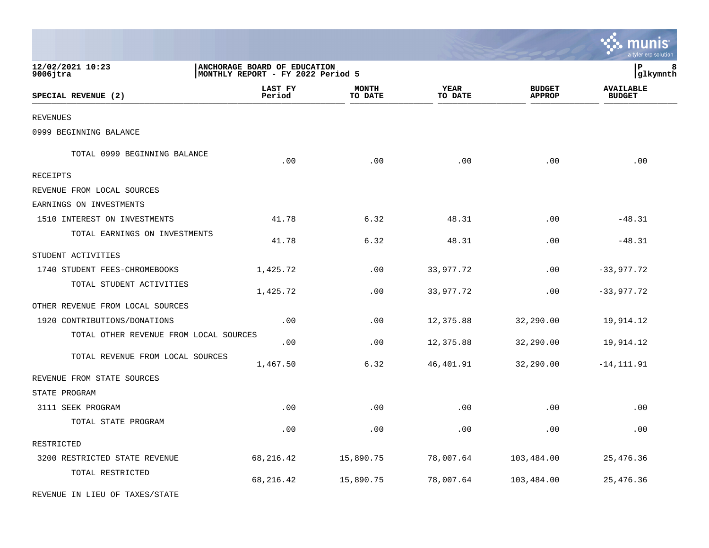|                                        |                                                                   |                         |                        |                                | a tyler erp solution              |
|----------------------------------------|-------------------------------------------------------------------|-------------------------|------------------------|--------------------------------|-----------------------------------|
| 12/02/2021 10:23<br>$9006$ jtra        | ANCHORAGE BOARD OF EDUCATION<br>MONTHLY REPORT - FY 2022 Period 5 |                         |                        |                                | P<br>8<br>glkymnth                |
| SPECIAL REVENUE (2)                    | LAST FY<br>Period                                                 | <b>MONTH</b><br>TO DATE | <b>YEAR</b><br>TO DATE | <b>BUDGET</b><br><b>APPROP</b> | <b>AVAILABLE</b><br><b>BUDGET</b> |
| REVENUES                               |                                                                   |                         |                        |                                |                                   |
| 0999 BEGINNING BALANCE                 |                                                                   |                         |                        |                                |                                   |
| TOTAL 0999 BEGINNING BALANCE           | .00                                                               | .00                     | .00                    | .00                            | .00                               |
| RECEIPTS                               |                                                                   |                         |                        |                                |                                   |
| REVENUE FROM LOCAL SOURCES             |                                                                   |                         |                        |                                |                                   |
| EARNINGS ON INVESTMENTS                |                                                                   |                         |                        |                                |                                   |
| 1510 INTEREST ON INVESTMENTS           | 41.78                                                             | 6.32                    | 48.31                  | .00                            | $-48.31$                          |
| TOTAL EARNINGS ON INVESTMENTS          | 41.78                                                             | 6.32                    | 48.31                  | .00                            | $-48.31$                          |
| STUDENT ACTIVITIES                     |                                                                   |                         |                        |                                |                                   |
| 1740 STUDENT FEES-CHROMEBOOKS          | 1,425.72                                                          | .00                     | 33,977.72              | .00                            | $-33,977.72$                      |
| TOTAL STUDENT ACTIVITIES               | 1,425.72                                                          | .00                     | 33,977.72              | .00                            | $-33,977.72$                      |
| OTHER REVENUE FROM LOCAL SOURCES       |                                                                   |                         |                        |                                |                                   |
| 1920 CONTRIBUTIONS/DONATIONS           | .00                                                               | .00                     | 12,375.88              | 32,290.00                      | 19,914.12                         |
| TOTAL OTHER REVENUE FROM LOCAL SOURCES | .00                                                               | .00                     | 12,375.88              | 32,290.00                      | 19,914.12                         |
| TOTAL REVENUE FROM LOCAL SOURCES       | 1,467.50                                                          | 6.32                    | 46,401.91              | 32,290.00                      | $-14, 111.91$                     |
| REVENUE FROM STATE SOURCES             |                                                                   |                         |                        |                                |                                   |
| STATE PROGRAM                          |                                                                   |                         |                        |                                |                                   |
| 3111 SEEK PROGRAM                      | .00                                                               | .00                     | .00                    | .00                            | .00                               |
| TOTAL STATE PROGRAM                    | .00                                                               | .00                     | .00                    | .00                            | .00                               |
| RESTRICTED                             |                                                                   |                         |                        |                                |                                   |
| 3200 RESTRICTED STATE REVENUE          | 68, 216.42                                                        | 15,890.75               | 78,007.64              | 103,484.00                     | 25, 476.36                        |
| TOTAL RESTRICTED                       | 68, 216.42                                                        | 15,890.75               | 78,007.64              | 103,484.00                     | 25, 476.36                        |
| REVENUE IN LIEU OF TAXES/STATE         |                                                                   |                         |                        |                                |                                   |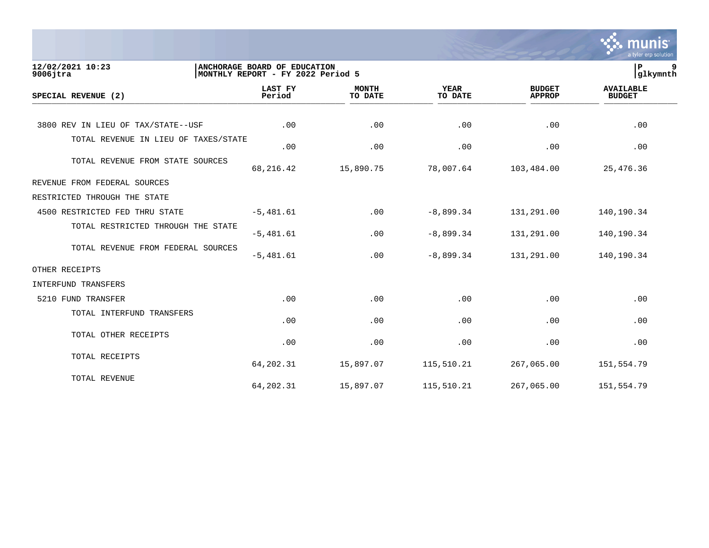|                                      |                                                                   |                         |                        |                                | munis<br>a tyler erp solution     |
|--------------------------------------|-------------------------------------------------------------------|-------------------------|------------------------|--------------------------------|-----------------------------------|
| 12/02/2021 10:23<br>$9006$ jtra      | ANCHORAGE BOARD OF EDUCATION<br>MONTHLY REPORT - FY 2022 Period 5 |                         |                        |                                | ΙP<br>9<br> glkymnth              |
| SPECIAL REVENUE (2)                  | <b>LAST FY</b><br>Period                                          | <b>MONTH</b><br>TO DATE | <b>YEAR</b><br>TO DATE | <b>BUDGET</b><br><b>APPROP</b> | <b>AVAILABLE</b><br><b>BUDGET</b> |
| 3800 REV IN LIEU OF TAX/STATE--USF   | .00                                                               | .00                     | .00                    | .00                            | .00                               |
| TOTAL REVENUE IN LIEU OF TAXES/STATE | .00                                                               | .00                     | .00                    | .00                            | .00                               |
| TOTAL REVENUE FROM STATE SOURCES     | 68, 216.42                                                        | 15,890.75               | 78,007.64              | 103,484.00                     | 25, 476.36                        |
| REVENUE FROM FEDERAL SOURCES         |                                                                   |                         |                        |                                |                                   |
| RESTRICTED THROUGH THE STATE         |                                                                   |                         |                        |                                |                                   |
| 4500 RESTRICTED FED THRU STATE       | $-5,481.61$                                                       | .00                     | $-8,899.34$            | 131,291.00                     | 140,190.34                        |
| TOTAL RESTRICTED THROUGH THE STATE   | $-5,481.61$                                                       | .00                     | $-8,899.34$            | 131,291.00                     | 140,190.34                        |
| TOTAL REVENUE FROM FEDERAL SOURCES   | $-5,481.61$                                                       | .00                     | $-8,899.34$            | 131,291.00                     | 140,190.34                        |
| OTHER RECEIPTS                       |                                                                   |                         |                        |                                |                                   |
| INTERFUND TRANSFERS                  |                                                                   |                         |                        |                                |                                   |
| 5210 FUND TRANSFER                   | .00                                                               | .00                     | .00                    | .00                            | .00                               |
| TOTAL INTERFUND TRANSFERS            | .00                                                               | .00                     | .00                    | .00                            | .00                               |
| TOTAL OTHER RECEIPTS                 | .00                                                               | .00                     | .00                    | .00                            | .00                               |
| TOTAL RECEIPTS                       | 64,202.31                                                         | 15,897.07               | 115,510.21             | 267,065.00                     | 151,554.79                        |
| TOTAL REVENUE                        | 64, 202.31                                                        | 15,897.07               | 115,510.21             | 267,065.00                     | 151,554.79                        |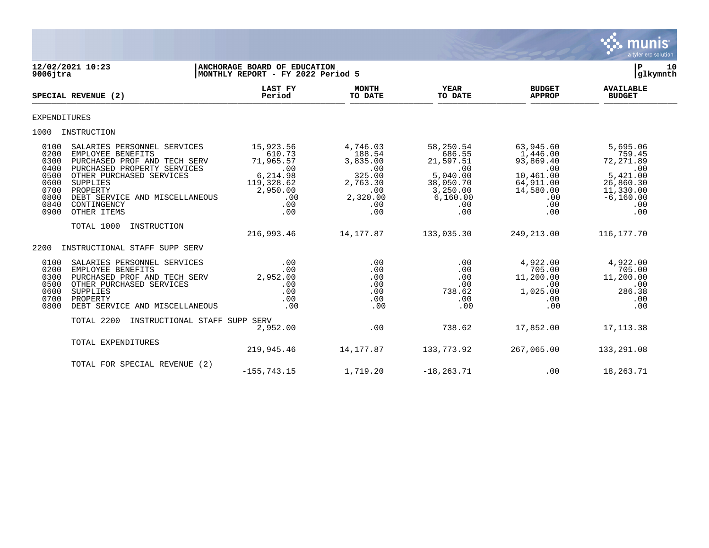

| $9006$ jtra                                                                  | 12/02/2021 10:23                                                                                                                                                                                                                    | ANCHORAGE BOARD OF EDUCATION<br>MONTHLY REPORT - FY 2022 Period 5                                              |                                                                                              |                                                                                                         |                                                                                                       | 10<br>ΙP<br> glkymnth                                                                                                   |  |
|------------------------------------------------------------------------------|-------------------------------------------------------------------------------------------------------------------------------------------------------------------------------------------------------------------------------------|----------------------------------------------------------------------------------------------------------------|----------------------------------------------------------------------------------------------|---------------------------------------------------------------------------------------------------------|-------------------------------------------------------------------------------------------------------|-------------------------------------------------------------------------------------------------------------------------|--|
|                                                                              | SPECIAL REVENUE (2)                                                                                                                                                                                                                 | <b>LAST FY</b><br>Period                                                                                       | <b>MONTH</b><br>TO DATE                                                                      | <b>YEAR</b><br>TO DATE                                                                                  | <b>BUDGET</b><br><b>APPROP</b>                                                                        | <b>AVAILABLE</b><br><b>BUDGET</b>                                                                                       |  |
| <b>EXPENDITURES</b>                                                          |                                                                                                                                                                                                                                     |                                                                                                                |                                                                                              |                                                                                                         |                                                                                                       |                                                                                                                         |  |
|                                                                              | 1000 INSTRUCTION                                                                                                                                                                                                                    |                                                                                                                |                                                                                              |                                                                                                         |                                                                                                       |                                                                                                                         |  |
| 0100<br>0200<br>0300<br>0400<br>0500<br>0600<br>0700<br>0800<br>0840<br>0900 | SALARIES PERSONNEL SERVICES<br>EMPLOYEE BENEFITS<br>PURCHASED PROF AND TECH SERV<br>PURCHASED PROPERTY SERVICES<br>OTHER PURCHASED SERVICES<br>SUPPLIES<br>PROPERTY<br>DEBT SERVICE AND MISCELLANEOUS<br>CONTINGENCY<br>OTHER ITEMS | 15,923.56<br>610.73<br>71,965.57<br>$\overline{00}$<br>6,214.98<br>119,328.62<br>2,950.00<br>.00<br>.00<br>.00 | 4,746.03<br>188.54<br>3,835.00<br>.00<br>325.00<br>2,763.30<br>.00<br>2,320.00<br>.00<br>.00 | 58,250.54<br>686.55<br>21,597.51<br>.00<br>5,040.00<br>38,050.70<br>3,250.00<br>6, 160.00<br>.00<br>.00 | 63,945.60<br>1,446.00<br>93,869.40<br>.00<br>10,461.00<br>64,911.00<br>14,580.00<br>.00<br>.00<br>.00 | 5,695.06<br>759.45<br>72, 271.89<br>$\overline{00}$<br>5,421.00<br>26,860.30<br>11,330.00<br>$-6, 160.00$<br>.00<br>.00 |  |
|                                                                              | TOTAL 1000<br>INSTRUCTION                                                                                                                                                                                                           | 216,993.46                                                                                                     | 14,177.87                                                                                    | 133,035.30                                                                                              | 249,213.00                                                                                            | 116,177.70                                                                                                              |  |
| 2200                                                                         | INSTRUCTIONAL STAFF SUPP SERV                                                                                                                                                                                                       |                                                                                                                |                                                                                              |                                                                                                         |                                                                                                       |                                                                                                                         |  |
| 0100<br>0200<br>0300<br>0500<br>0600<br>0700<br>0800                         | SALARIES PERSONNEL SERVICES<br>EMPLOYEE BENEFITS<br>PURCHASED PROF AND TECH SERV<br>OTHER PURCHASED SERVICES<br>SUPPLIES<br>PROPERTY<br>DEBT SERVICE AND MISCELLANEOUS                                                              | .00<br>.00<br>2,952.00<br>.00<br>.00<br>.00<br>.00                                                             | .00<br>.00<br>.00<br>.00<br>.00<br>.00<br>.00                                                | .00<br>.00<br>.00<br>.00<br>738.62<br>.00<br>.00                                                        | 4,922.00<br>705.00<br>11,200.00<br>.00<br>1,025.00<br>.00<br>.00                                      | 4,922.00<br>705.00<br>11,200.00<br>.00<br>286.38<br>.00<br>.00                                                          |  |
|                                                                              | TOTAL 2200<br>INSTRUCTIONAL STAFF SUPP SERV                                                                                                                                                                                         | 2,952.00                                                                                                       | .00                                                                                          | 738.62                                                                                                  | 17,852.00                                                                                             | 17, 113.38                                                                                                              |  |
|                                                                              | TOTAL EXPENDITURES                                                                                                                                                                                                                  | 219,945.46                                                                                                     | 14,177.87                                                                                    | 133,773.92                                                                                              | 267,065.00                                                                                            | 133,291.08                                                                                                              |  |
|                                                                              | TOTAL FOR SPECIAL REVENUE (2)                                                                                                                                                                                                       | $-155, 743.15$                                                                                                 | 1,719.20                                                                                     | $-18, 263.71$                                                                                           | .00                                                                                                   | 18,263.71                                                                                                               |  |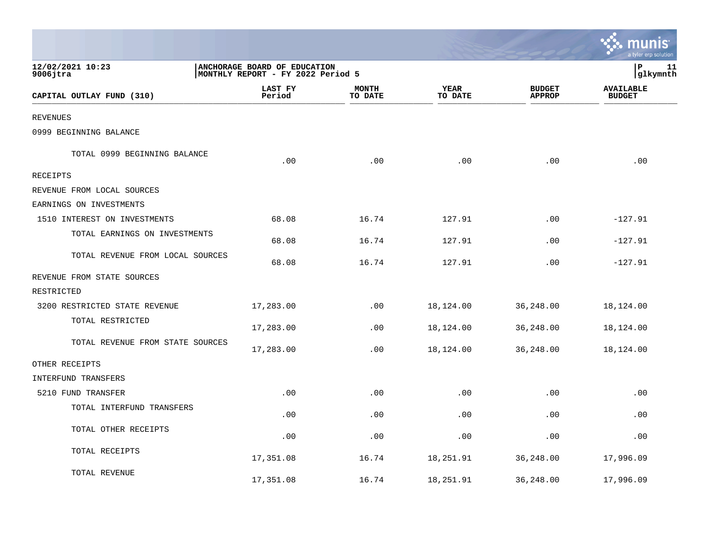|                                  |                                                                   |                         |                        |                                | munis<br>a tyler erp solution     |
|----------------------------------|-------------------------------------------------------------------|-------------------------|------------------------|--------------------------------|-----------------------------------|
| 12/02/2021 10:23<br>$9006$ jtra  | ANCHORAGE BOARD OF EDUCATION<br>MONTHLY REPORT - FY 2022 Period 5 |                         |                        |                                | lР<br>11<br> glkymnth             |
| CAPITAL OUTLAY FUND (310)        | LAST FY<br>Period                                                 | <b>MONTH</b><br>TO DATE | <b>YEAR</b><br>TO DATE | <b>BUDGET</b><br><b>APPROP</b> | <b>AVAILABLE</b><br><b>BUDGET</b> |
| <b>REVENUES</b>                  |                                                                   |                         |                        |                                |                                   |
| 0999 BEGINNING BALANCE           |                                                                   |                         |                        |                                |                                   |
| TOTAL 0999 BEGINNING BALANCE     | .00                                                               | .00                     | .00                    | .00                            | .00                               |
| <b>RECEIPTS</b>                  |                                                                   |                         |                        |                                |                                   |
| REVENUE FROM LOCAL SOURCES       |                                                                   |                         |                        |                                |                                   |
| EARNINGS ON INVESTMENTS          |                                                                   |                         |                        |                                |                                   |
| 1510 INTEREST ON INVESTMENTS     | 68.08                                                             | 16.74                   | 127.91                 | .00                            | $-127.91$                         |
| TOTAL EARNINGS ON INVESTMENTS    | 68.08                                                             | 16.74                   | 127.91                 | .00                            | $-127.91$                         |
| TOTAL REVENUE FROM LOCAL SOURCES | 68.08                                                             | 16.74                   | 127.91                 | .00                            | $-127.91$                         |
| REVENUE FROM STATE SOURCES       |                                                                   |                         |                        |                                |                                   |
| RESTRICTED                       |                                                                   |                         |                        |                                |                                   |
| 3200 RESTRICTED STATE REVENUE    | 17,283.00                                                         | .00                     | 18,124.00              | 36,248.00                      | 18,124.00                         |
| TOTAL RESTRICTED                 | 17,283.00                                                         | .00                     | 18,124.00              | 36,248.00                      | 18,124.00                         |
| TOTAL REVENUE FROM STATE SOURCES | 17,283.00                                                         | .00                     | 18,124.00              | 36,248.00                      | 18,124.00                         |
| OTHER RECEIPTS                   |                                                                   |                         |                        |                                |                                   |
| INTERFUND TRANSFERS              |                                                                   |                         |                        |                                |                                   |
| 5210 FUND TRANSFER               | .00                                                               | .00                     | .00                    | .00                            | .00                               |
| TOTAL INTERFUND TRANSFERS        | .00                                                               | .00                     | .00                    | .00                            | .00                               |
| TOTAL OTHER RECEIPTS             | .00                                                               | .00                     | .00                    | .00                            | .00                               |
| TOTAL RECEIPTS                   | 17,351.08                                                         | 16.74                   | 18,251.91              | 36,248.00                      | 17,996.09                         |
| TOTAL REVENUE                    | 17,351.08                                                         | 16.74                   | 18,251.91              | 36,248.00                      | 17,996.09                         |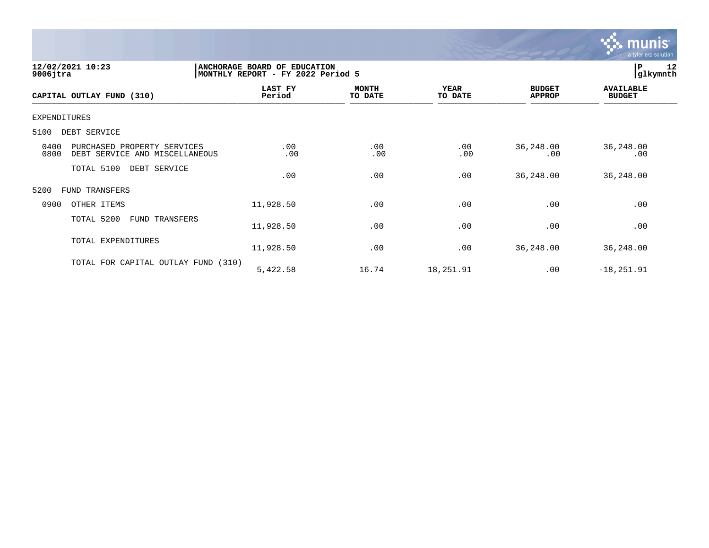

| 12/02/2021 10:23<br>$9006$ jtra                                               | ANCHORAGE BOARD OF EDUCATION<br>MONTHLY REPORT - FY 2022 Period 5 |                         |                        |                                | 12<br>lР<br> glkymnth             |
|-------------------------------------------------------------------------------|-------------------------------------------------------------------|-------------------------|------------------------|--------------------------------|-----------------------------------|
| CAPITAL OUTLAY FUND (310)                                                     | LAST FY<br>Period                                                 | <b>MONTH</b><br>TO DATE | <b>YEAR</b><br>TO DATE | <b>BUDGET</b><br><b>APPROP</b> | <b>AVAILABLE</b><br><b>BUDGET</b> |
| EXPENDITURES                                                                  |                                                                   |                         |                        |                                |                                   |
| DEBT SERVICE<br>5100                                                          |                                                                   |                         |                        |                                |                                   |
| 0400<br>PURCHASED PROPERTY SERVICES<br>0800<br>DEBT SERVICE AND MISCELLANEOUS | .00<br>.00                                                        | .00<br>.00              | .00<br>.00             | 36,248.00<br>.00               | 36,248.00<br>.00                  |
| TOTAL 5100<br>DEBT SERVICE                                                    | .00                                                               | .00                     | .00                    | 36, 248.00                     | 36,248.00                         |
| 5200<br>FUND TRANSFERS                                                        |                                                                   |                         |                        |                                |                                   |
| 0900<br>OTHER ITEMS                                                           | 11,928.50                                                         | .00                     | .00                    | .00                            | .00                               |
| TOTAL 5200<br>FUND TRANSFERS                                                  | 11,928.50                                                         | .00                     | .00                    | .00                            | .00                               |
| TOTAL EXPENDITURES                                                            | 11,928.50                                                         | .00                     | .00                    | 36,248.00                      | 36,248.00                         |
| TOTAL FOR CAPITAL OUTLAY FUND (310)                                           | 5,422.58                                                          | 16.74                   | 18,251.91              | .00                            | $-18, 251.91$                     |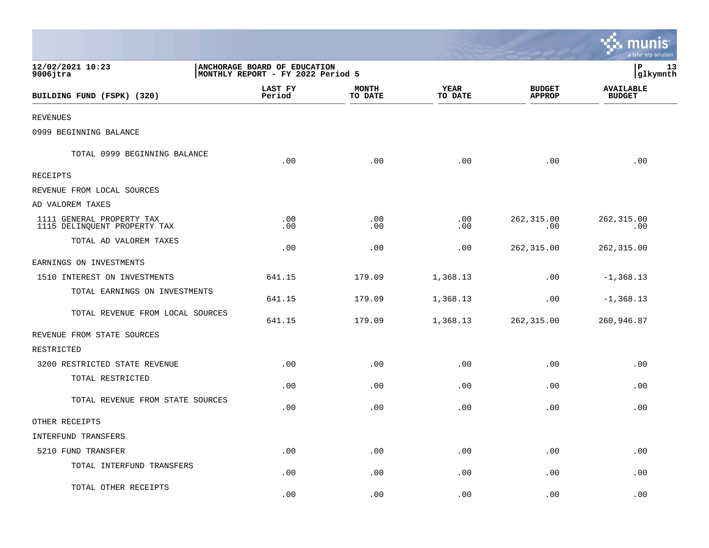|                                                           |                                                                   |                                |                        |                                | a tyler erp solution              |
|-----------------------------------------------------------|-------------------------------------------------------------------|--------------------------------|------------------------|--------------------------------|-----------------------------------|
| 12/02/2021 10:23<br>$9006$ jtra                           | ANCHORAGE BOARD OF EDUCATION<br>MONTHLY REPORT - FY 2022 Period 5 | $\, {\bf P}$<br>13<br>glkymnth |                        |                                |                                   |
| BUILDING FUND (FSPK) (320)                                | LAST FY<br>Period                                                 | <b>MONTH</b><br>TO DATE        | <b>YEAR</b><br>TO DATE | <b>BUDGET</b><br><b>APPROP</b> | <b>AVAILABLE</b><br><b>BUDGET</b> |
| <b>REVENUES</b>                                           |                                                                   |                                |                        |                                |                                   |
| 0999 BEGINNING BALANCE                                    |                                                                   |                                |                        |                                |                                   |
| TOTAL 0999 BEGINNING BALANCE                              | .00                                                               | .00                            | .00                    | .00                            | .00                               |
| RECEIPTS                                                  |                                                                   |                                |                        |                                |                                   |
| REVENUE FROM LOCAL SOURCES                                |                                                                   |                                |                        |                                |                                   |
| AD VALOREM TAXES                                          |                                                                   |                                |                        |                                |                                   |
| 1111 GENERAL PROPERTY TAX<br>1115 DELINQUENT PROPERTY TAX | .00<br>.00                                                        | .00<br>.00                     | $.00 \,$<br>.00        | 262, 315.00<br>.00             | 262, 315.00<br>.00                |
| TOTAL AD VALOREM TAXES                                    | .00                                                               | .00                            | .00                    | 262,315.00                     | 262,315.00                        |
| EARNINGS ON INVESTMENTS                                   |                                                                   |                                |                        |                                |                                   |
| 1510 INTEREST ON INVESTMENTS                              | 641.15                                                            | 179.09                         | 1,368.13               | .00                            | $-1, 368.13$                      |
| TOTAL EARNINGS ON INVESTMENTS                             | 641.15                                                            | 179.09                         | 1,368.13               | .00                            | $-1, 368.13$                      |
| TOTAL REVENUE FROM LOCAL SOURCES                          | 641.15                                                            | 179.09                         | 1,368.13               | 262,315.00                     | 260,946.87                        |
| REVENUE FROM STATE SOURCES                                |                                                                   |                                |                        |                                |                                   |
| RESTRICTED                                                |                                                                   |                                |                        |                                |                                   |
| 3200 RESTRICTED STATE REVENUE                             | .00                                                               | .00                            | $.00 \,$               | .00                            | .00                               |
| TOTAL RESTRICTED                                          | .00                                                               | .00                            | .00                    | .00                            | .00                               |
| TOTAL REVENUE FROM STATE SOURCES                          | .00                                                               | .00                            | .00                    | .00                            | .00                               |
| OTHER RECEIPTS                                            |                                                                   |                                |                        |                                |                                   |
| INTERFUND TRANSFERS                                       |                                                                   |                                |                        |                                |                                   |
| 5210 FUND TRANSFER                                        | .00                                                               | .00                            | .00                    | .00                            | .00                               |
| TOTAL INTERFUND TRANSFERS                                 | .00                                                               | .00                            | .00                    | .00                            | .00                               |
| TOTAL OTHER RECEIPTS                                      | .00                                                               | .00                            | .00                    | .00                            | .00                               |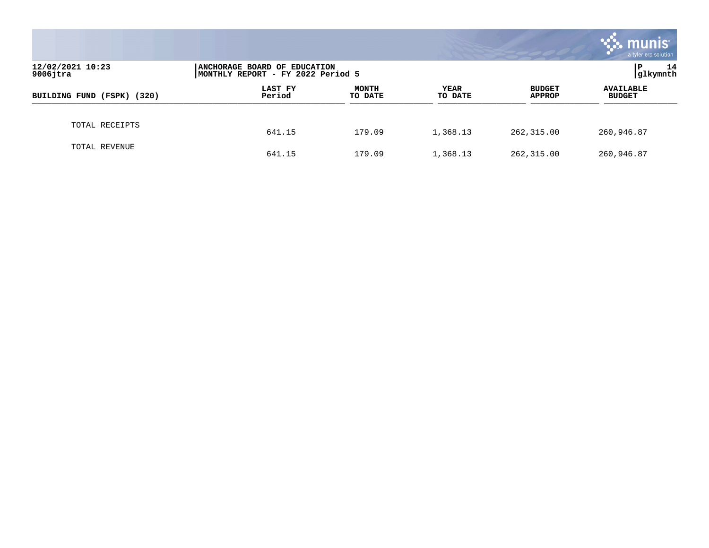|                                 |                                                                   |                         |                        |                                | munis<br>a tyler erp solution     |
|---------------------------------|-------------------------------------------------------------------|-------------------------|------------------------|--------------------------------|-----------------------------------|
| 12/02/2021 10:23<br>$9006$ jtra | ANCHORAGE BOARD OF EDUCATION<br>MONTHLY REPORT - FY 2022 Period 5 | 14<br>P<br> glkymnth    |                        |                                |                                   |
| BUILDING FUND (FSPK) (320)      | LAST FY<br>Period                                                 | <b>MONTH</b><br>TO DATE | <b>YEAR</b><br>TO DATE | <b>BUDGET</b><br><b>APPROP</b> | <b>AVAILABLE</b><br><b>BUDGET</b> |
| TOTAL RECEIPTS                  | 641.15                                                            | 179.09                  | 1,368.13               | 262,315.00                     | 260,946.87                        |
| TOTAL REVENUE                   | 641.15                                                            | 179.09                  | 1,368.13               | 262,315.00                     | 260,946.87                        |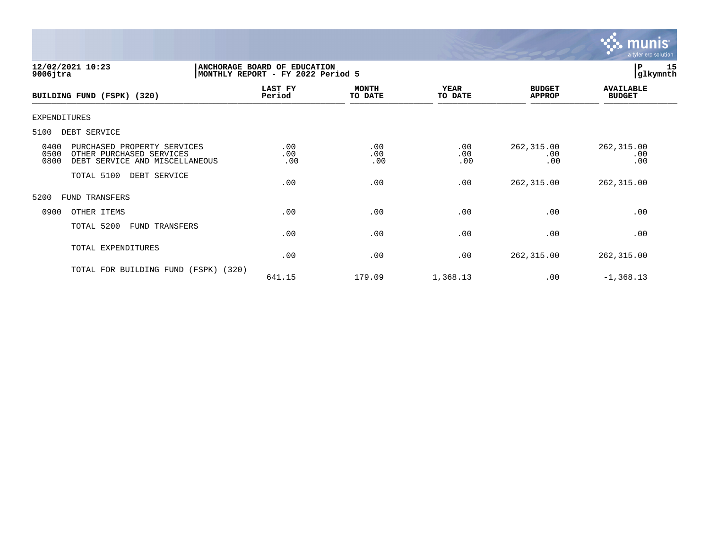

| 12/02/2021 10:23<br>$9006$ jtra                                                                                   | ANCHORAGE BOARD OF EDUCATION<br>MONTHLY REPORT - FY 2022 Period 5 |                         |                        |                                | P<br> glkymnth                    | 15 |
|-------------------------------------------------------------------------------------------------------------------|-------------------------------------------------------------------|-------------------------|------------------------|--------------------------------|-----------------------------------|----|
| BUILDING FUND (FSPK) (320)                                                                                        | LAST FY<br>Period                                                 | <b>MONTH</b><br>TO DATE | <b>YEAR</b><br>TO DATE | <b>BUDGET</b><br><b>APPROP</b> | <b>AVAILABLE</b><br><b>BUDGET</b> |    |
| EXPENDITURES                                                                                                      |                                                                   |                         |                        |                                |                                   |    |
| 5100<br>DEBT SERVICE                                                                                              |                                                                   |                         |                        |                                |                                   |    |
| 0400<br>PURCHASED PROPERTY SERVICES<br>0500<br>OTHER PURCHASED SERVICES<br>0800<br>DEBT SERVICE AND MISCELLANEOUS | .00<br>.00<br>.00                                                 | .00<br>.00<br>.00       | .00<br>.00<br>.00      | 262,315.00<br>.00<br>.00       | 262, 315.00<br>.00<br>.00         |    |
| TOTAL 5100<br>DEBT SERVICE                                                                                        | .00                                                               | .00                     | .00                    | 262,315.00                     | 262,315.00                        |    |
| 5200<br>FUND TRANSFERS                                                                                            |                                                                   |                         |                        |                                |                                   |    |
| 0900<br>OTHER ITEMS                                                                                               | .00                                                               | .00                     | .00                    | .00                            | .00                               |    |
| TOTAL 5200<br>FUND TRANSFERS                                                                                      | .00                                                               | .00                     | .00                    | .00                            | .00                               |    |
| TOTAL EXPENDITURES                                                                                                | .00                                                               | .00                     | .00                    | 262,315.00                     | 262, 315.00                       |    |
| TOTAL FOR BUILDING FUND<br>(FSPK)                                                                                 | (320)<br>641.15                                                   | 179.09                  | 1,368.13               | .00                            | $-1, 368.13$                      |    |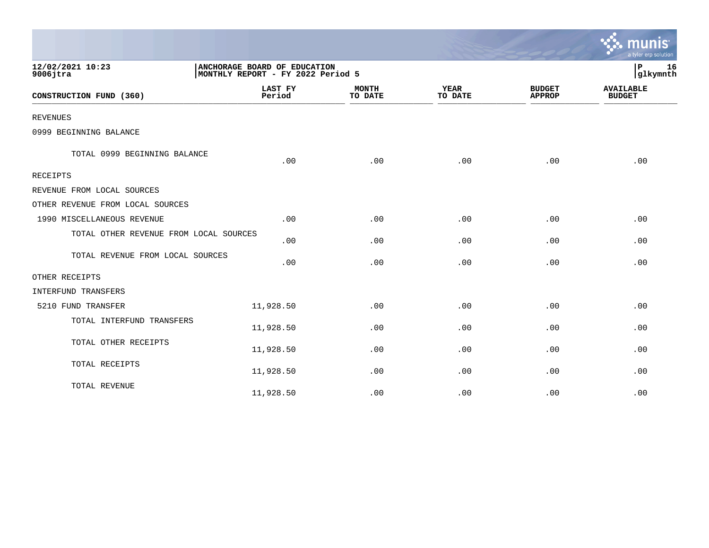|                                        |                                                                   |                         |                        |                                | a tyler erp solution              |
|----------------------------------------|-------------------------------------------------------------------|-------------------------|------------------------|--------------------------------|-----------------------------------|
| 12/02/2021 10:23<br>$9006$ jtra        | ANCHORAGE BOARD OF EDUCATION<br>MONTHLY REPORT - FY 2022 Period 5 |                         |                        |                                | 16<br>P<br>glkymnth               |
| CONSTRUCTION FUND (360)                | <b>LAST FY</b><br>Period                                          | <b>MONTH</b><br>TO DATE | <b>YEAR</b><br>TO DATE | <b>BUDGET</b><br><b>APPROP</b> | <b>AVAILABLE</b><br><b>BUDGET</b> |
| <b>REVENUES</b>                        |                                                                   |                         |                        |                                |                                   |
| 0999 BEGINNING BALANCE                 |                                                                   |                         |                        |                                |                                   |
| TOTAL 0999 BEGINNING BALANCE           | .00                                                               | .00                     | .00                    | .00                            | .00                               |
| RECEIPTS                               |                                                                   |                         |                        |                                |                                   |
| REVENUE FROM LOCAL SOURCES             |                                                                   |                         |                        |                                |                                   |
| OTHER REVENUE FROM LOCAL SOURCES       |                                                                   |                         |                        |                                |                                   |
| 1990 MISCELLANEOUS REVENUE             | .00                                                               | .00                     | .00                    | .00                            | .00                               |
| TOTAL OTHER REVENUE FROM LOCAL SOURCES | .00                                                               | .00                     | .00                    | .00                            | .00                               |
| TOTAL REVENUE FROM LOCAL SOURCES       | .00                                                               | .00                     | .00                    | .00                            | .00                               |
| OTHER RECEIPTS                         |                                                                   |                         |                        |                                |                                   |
| <b>INTERFUND TRANSFERS</b>             |                                                                   |                         |                        |                                |                                   |
| 5210 FUND TRANSFER                     | 11,928.50                                                         | .00                     | .00                    | .00                            | .00                               |
| TOTAL INTERFUND TRANSFERS              | 11,928.50                                                         | .00                     | .00                    | .00                            | .00                               |
| TOTAL OTHER RECEIPTS                   | 11,928.50                                                         | .00                     | .00                    | .00                            | .00                               |
| TOTAL RECEIPTS                         | 11,928.50                                                         | .00                     | .00                    | .00                            | .00                               |
| TOTAL REVENUE                          | 11,928.50                                                         | .00                     | .00                    | .00                            | .00                               |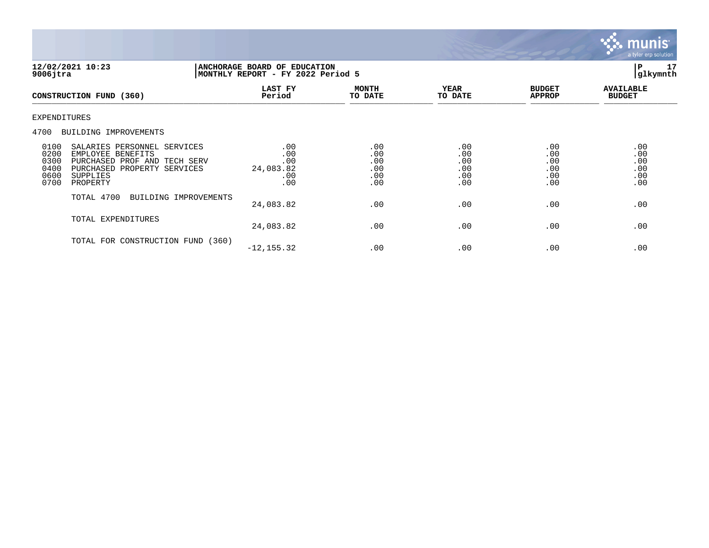

| 12/02/2021 10:23<br>$9006$ jtra                                                                                                                                                         |                                              | ANCHORAGE BOARD OF EDUCATION<br>MONTHLY REPORT - FY 2022 Period 5 |                                        |                                        |                                        |  |
|-----------------------------------------------------------------------------------------------------------------------------------------------------------------------------------------|----------------------------------------------|-------------------------------------------------------------------|----------------------------------------|----------------------------------------|----------------------------------------|--|
| CONSTRUCTION FUND (360)                                                                                                                                                                 | LAST FY<br>Period                            | <b>MONTH</b><br>TO DATE                                           | <b>YEAR</b><br>TO DATE                 | <b>BUDGET</b><br><b>APPROP</b>         | <b>AVAILABLE</b><br><b>BUDGET</b>      |  |
| <b>EXPENDITURES</b>                                                                                                                                                                     |                                              |                                                                   |                                        |                                        |                                        |  |
| 4700<br>BUILDING IMPROVEMENTS                                                                                                                                                           |                                              |                                                                   |                                        |                                        |                                        |  |
| 0100<br>SALARIES PERSONNEL SERVICES<br>0200<br>EMPLOYEE BENEFITS<br>0300<br>PURCHASED PROF AND TECH SERV<br>0400<br>PURCHASED PROPERTY SERVICES<br>0600<br>SUPPLIES<br>0700<br>PROPERTY | .00<br>.00<br>.00<br>24,083.82<br>.00<br>.00 | .00<br>.00<br>.00<br>.00<br>.00<br>.00                            | .00<br>.00<br>.00<br>.00<br>.00<br>.00 | .00<br>.00<br>.00<br>.00<br>.00<br>.00 | .00<br>.00<br>.00<br>.00<br>.00<br>.00 |  |
| TOTAL 4700<br>BUILDING IMPROVEMENTS                                                                                                                                                     | 24,083.82                                    | .00                                                               | .00                                    | .00                                    | .00                                    |  |
| TOTAL EXPENDITURES                                                                                                                                                                      | 24,083.82                                    | .00                                                               | .00                                    | .00                                    | .00                                    |  |
| TOTAL FOR CONSTRUCTION FUND (360)                                                                                                                                                       | $-12, 155.32$                                | .00                                                               | .00                                    | .00                                    | .00                                    |  |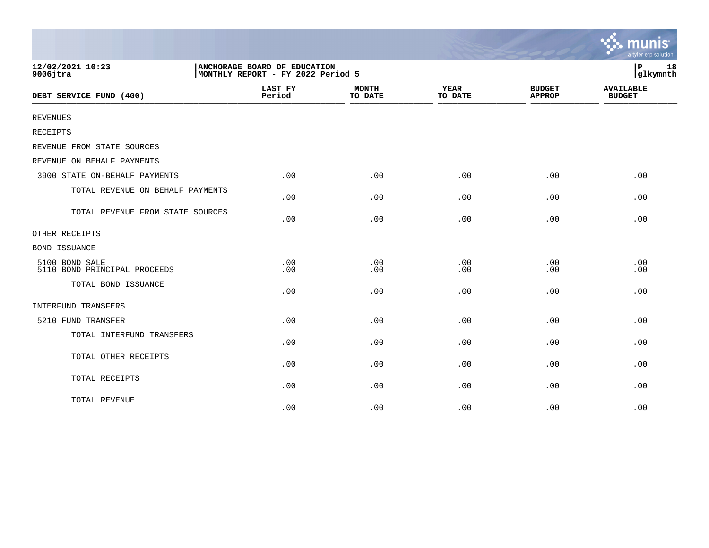|                                                |                                                                   |                         |                        |                                | mu<br><b>IS</b><br>a tyler erp solution |
|------------------------------------------------|-------------------------------------------------------------------|-------------------------|------------------------|--------------------------------|-----------------------------------------|
| 12/02/2021 10:23<br>$9006$ jtra                | ANCHORAGE BOARD OF EDUCATION<br>MONTHLY REPORT - FY 2022 Period 5 |                         |                        |                                | 18<br>ΙP<br>glkymnth                    |
| DEBT SERVICE FUND (400)                        | <b>LAST FY</b><br>Period                                          | <b>MONTH</b><br>TO DATE | <b>YEAR</b><br>TO DATE | <b>BUDGET</b><br><b>APPROP</b> | <b>AVAILABLE</b><br><b>BUDGET</b>       |
| <b>REVENUES</b>                                |                                                                   |                         |                        |                                |                                         |
| <b>RECEIPTS</b>                                |                                                                   |                         |                        |                                |                                         |
| REVENUE FROM STATE SOURCES                     |                                                                   |                         |                        |                                |                                         |
| REVENUE ON BEHALF PAYMENTS                     |                                                                   |                         |                        |                                |                                         |
| 3900 STATE ON-BEHALF PAYMENTS                  | .00                                                               | .00                     | .00                    | .00                            | .00                                     |
| TOTAL REVENUE ON BEHALF PAYMENTS               | .00                                                               | .00                     | .00                    | .00                            | .00                                     |
| TOTAL REVENUE FROM STATE SOURCES               | .00                                                               | .00                     | .00                    | .00                            | .00                                     |
| OTHER RECEIPTS                                 |                                                                   |                         |                        |                                |                                         |
| <b>BOND ISSUANCE</b>                           |                                                                   |                         |                        |                                |                                         |
| 5100 BOND SALE<br>5110 BOND PRINCIPAL PROCEEDS | .00<br>.00                                                        | .00<br>.00              | .00<br>.00             | .00<br>.00                     | .00<br>.00                              |
| TOTAL BOND ISSUANCE                            | .00                                                               | .00                     | .00                    | .00                            | .00                                     |
| INTERFUND TRANSFERS                            |                                                                   |                         |                        |                                |                                         |
| 5210 FUND TRANSFER                             | .00                                                               | .00                     | .00                    | .00                            | .00                                     |
| TOTAL INTERFUND TRANSFERS                      | .00                                                               | .00                     | .00                    | .00                            | .00                                     |
| TOTAL OTHER RECEIPTS                           | .00                                                               | .00                     | .00                    | .00                            | .00                                     |
| TOTAL RECEIPTS                                 | .00                                                               | .00                     | .00                    | .00                            | .00                                     |
| TOTAL REVENUE                                  | .00                                                               | .00                     | .00                    | .00                            | .00                                     |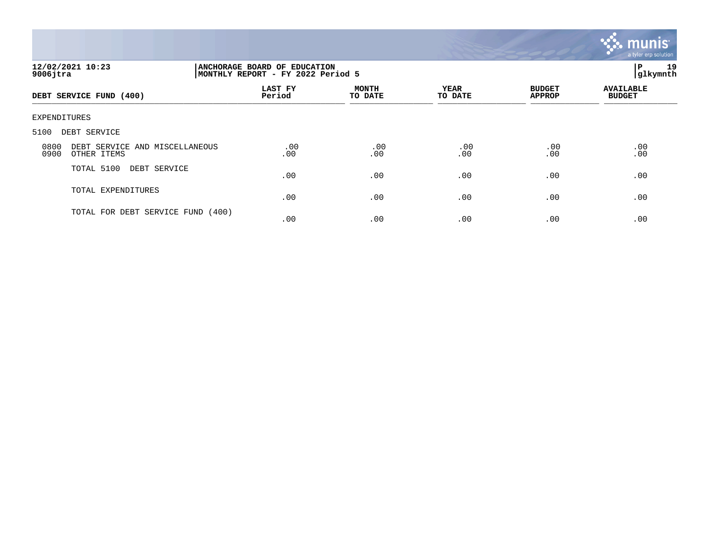

| 12/02/2021 10:23<br>$9006$ jtra                               | ANCHORAGE BOARD OF EDUCATION<br>P<br>glkymnth<br>MONTHLY REPORT - FY 2022 Period 5 |                         |                        |                                |                                   |  |
|---------------------------------------------------------------|------------------------------------------------------------------------------------|-------------------------|------------------------|--------------------------------|-----------------------------------|--|
| DEBT SERVICE FUND (400)                                       | LAST FY<br>Period                                                                  | <b>MONTH</b><br>TO DATE | <b>YEAR</b><br>TO DATE | <b>BUDGET</b><br><b>APPROP</b> | <b>AVAILABLE</b><br><b>BUDGET</b> |  |
| EXPENDITURES                                                  |                                                                                    |                         |                        |                                |                                   |  |
| 5100<br>DEBT SERVICE                                          |                                                                                    |                         |                        |                                |                                   |  |
| 0800<br>DEBT SERVICE AND MISCELLANEOUS<br>0900<br>OTHER ITEMS | .00<br>.00                                                                         | .00<br>.00              | .00<br>.00             | .00<br>.00                     | .00<br>.00                        |  |
| TOTAL 5100<br>DEBT SERVICE                                    | .00                                                                                | .00                     | .00                    | .00                            | .00                               |  |
| TOTAL EXPENDITURES                                            | .00                                                                                | .00                     | .00                    | .00                            | .00                               |  |
| TOTAL FOR DEBT SERVICE FUND                                   | (400)<br>.00                                                                       | .00                     | .00                    | .00                            | .00                               |  |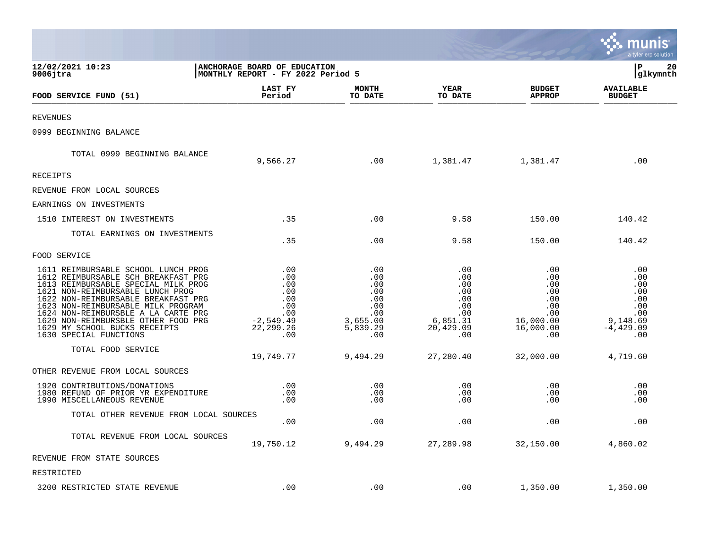|                                                                                                                                                                                                                                                                                                                                                                             |                                                                                    |                                                                              |                                                                               |                                                                                | a tyler erp solution                                                             |
|-----------------------------------------------------------------------------------------------------------------------------------------------------------------------------------------------------------------------------------------------------------------------------------------------------------------------------------------------------------------------------|------------------------------------------------------------------------------------|------------------------------------------------------------------------------|-------------------------------------------------------------------------------|--------------------------------------------------------------------------------|----------------------------------------------------------------------------------|
| 12/02/2021 10:23<br>$9006$ jtra                                                                                                                                                                                                                                                                                                                                             | ANCHORAGE BOARD OF EDUCATION<br>MONTHLY REPORT - FY 2022 Period 5                  |                                                                              |                                                                               |                                                                                | P<br>20<br>glkymnth                                                              |
| FOOD SERVICE FUND (51)                                                                                                                                                                                                                                                                                                                                                      | LAST FY<br>Period                                                                  | <b>MONTH</b><br>TO DATE                                                      | YEAR<br>TO DATE                                                               | <b>BUDGET</b><br><b>APPROP</b>                                                 | <b>AVAILABLE</b><br><b>BUDGET</b>                                                |
| <b>REVENUES</b>                                                                                                                                                                                                                                                                                                                                                             |                                                                                    |                                                                              |                                                                               |                                                                                |                                                                                  |
| 0999 BEGINNING BALANCE                                                                                                                                                                                                                                                                                                                                                      |                                                                                    |                                                                              |                                                                               |                                                                                |                                                                                  |
| TOTAL 0999 BEGINNING BALANCE                                                                                                                                                                                                                                                                                                                                                | 9,566.27                                                                           | .00                                                                          | 1,381.47                                                                      | 1,381.47                                                                       | .00                                                                              |
| <b>RECEIPTS</b>                                                                                                                                                                                                                                                                                                                                                             |                                                                                    |                                                                              |                                                                               |                                                                                |                                                                                  |
| REVENUE FROM LOCAL SOURCES                                                                                                                                                                                                                                                                                                                                                  |                                                                                    |                                                                              |                                                                               |                                                                                |                                                                                  |
| EARNINGS ON INVESTMENTS                                                                                                                                                                                                                                                                                                                                                     |                                                                                    |                                                                              |                                                                               |                                                                                |                                                                                  |
| 1510 INTEREST ON INVESTMENTS                                                                                                                                                                                                                                                                                                                                                | .35                                                                                | .00                                                                          | 9.58                                                                          | 150.00                                                                         | 140.42                                                                           |
| TOTAL EARNINGS ON INVESTMENTS                                                                                                                                                                                                                                                                                                                                               | .35                                                                                | .00                                                                          | 9.58                                                                          | 150.00                                                                         | 140.42                                                                           |
| FOOD SERVICE                                                                                                                                                                                                                                                                                                                                                                |                                                                                    |                                                                              |                                                                               |                                                                                |                                                                                  |
| 1611 REIMBURSABLE SCHOOL LUNCH PROG<br>1612 REIMBURSABLE SCH BREAKFAST PRG<br>1613 REIMBURSABLE SPECIAL MILK PROG<br>1621 NON-REIMBURSABLE LUNCH PROG<br>1622 NON-REIMBURSABLE BREAKFAST PRG<br>1623 NON-REIMBURSABLE MILK PROGRAM<br>1624 NON-REIMBURSBLE A LA CARTE PRG<br>1629 NON-REIMBURSBLE OTHER FOOD PRG<br>1629 MY SCHOOL BUCKS RECEIPTS<br>1630 SPECIAL FUNCTIONS | .00<br>.00<br>.00<br>.00<br>.00<br>.00<br>.00<br>$-2,549.49$<br>22, 299. 26<br>.00 | .00<br>.00<br>.00<br>.00<br>.00<br>.00<br>.00<br>3,655.00<br>5,839.29<br>.00 | .00<br>.00<br>.00<br>.00<br>.00<br>.00<br>.00<br>6,851.31<br>20,429.09<br>.00 | .00<br>.00<br>.00<br>.00<br>.00<br>.00<br>.00<br>16,000.00<br>16,000.00<br>.00 | .00<br>.00<br>.00<br>.00<br>.00<br>.00<br>.00<br>9,148.69<br>$-4, 429.09$<br>.00 |
| TOTAL FOOD SERVICE                                                                                                                                                                                                                                                                                                                                                          | 19,749.77                                                                          | 9,494.29                                                                     | 27,280.40                                                                     | 32,000.00                                                                      | 4,719.60                                                                         |
| OTHER REVENUE FROM LOCAL SOURCES                                                                                                                                                                                                                                                                                                                                            |                                                                                    |                                                                              |                                                                               |                                                                                |                                                                                  |
| 1920 CONTRIBUTIONS/DONATIONS<br>1980 REFUND OF PRIOR YR EXPENDITURE<br>1990 MISCELLANEOUS REVENUE                                                                                                                                                                                                                                                                           | $.00$<br>.00<br>.00                                                                | .00<br>.00<br>.00                                                            | .00<br>.00<br>.00                                                             | .00<br>.00<br>.00                                                              | .00<br>.00<br>.00                                                                |
| TOTAL OTHER REVENUE FROM LOCAL SOURCES                                                                                                                                                                                                                                                                                                                                      | .00                                                                                | .00                                                                          | .00                                                                           | .00                                                                            | .00                                                                              |
| TOTAL REVENUE FROM LOCAL SOURCES                                                                                                                                                                                                                                                                                                                                            | 19,750.12                                                                          | 9,494.29                                                                     | 27,289.98                                                                     | 32,150.00                                                                      | 4,860.02                                                                         |
| REVENUE FROM STATE SOURCES                                                                                                                                                                                                                                                                                                                                                  |                                                                                    |                                                                              |                                                                               |                                                                                |                                                                                  |
| RESTRICTED                                                                                                                                                                                                                                                                                                                                                                  |                                                                                    |                                                                              |                                                                               |                                                                                |                                                                                  |
| 3200 RESTRICTED STATE REVENUE                                                                                                                                                                                                                                                                                                                                               | .00                                                                                | .00                                                                          | .00                                                                           | 1,350.00                                                                       | 1,350.00                                                                         |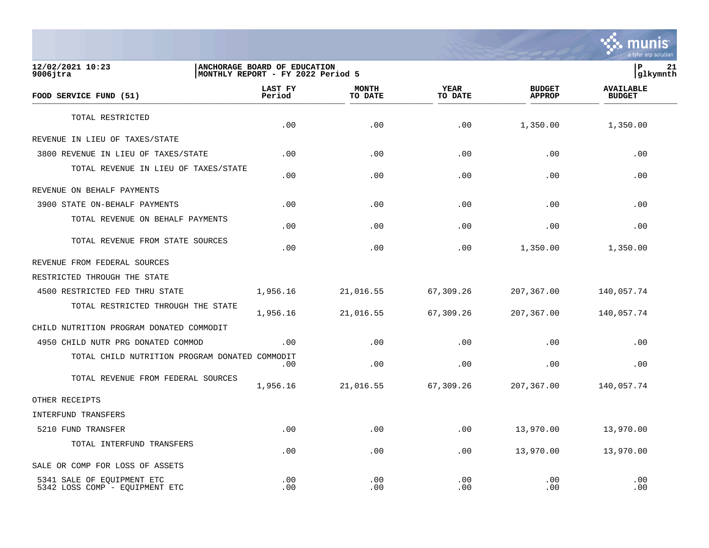

**12/02/2021 10:23 |ANCHORAGE BOARD OF EDUCATION |P 21** MONTHLY REPORT - FY 2022 Period 5  **LAST FY MONTH YEAR BUDGET AVAILABLE FOOD SERVICE FUND (51) Period TO DATE TO DATE APPROP BUDGET**   $\frac{10 \text{ BFR}}{10 \text{ BFR}}$ TOTAL RESTRICTED  $.00$   $.00$   $.00$   $.00$   $.00$   $.00$   $.00$   $.00$   $.00$   $.00$ REVENUE IN LIEU OF TAXES/STATE 3800 REVENUE IN LIEU OF TAXES/STATE .00 .00 .00 .00 .00 TOTAL REVENUE IN LIEU OF TAXES/STATE .00 .00 .00 .00 .00 REVENUE ON BEHALF PAYMENTS 3900 STATE ON-BEHALF PAYMENTS .00 .00 .00 .00 .00 TOTAL REVENUE ON BEHALF PAYMENTS  $.00$  .  $.00$  .  $.00$  .  $.00$  .  $.00$  .  $.00$  .  $.00$  .  $.00$  .  $.00$  .  $.00$  .  $.00$  .  $.00$  .  $.00$  .  $.00$  .  $.00$  .  $.00$  .  $.00$  .  $.00$  .  $.00$  .  $.00$  .  $.00$  .  $.00$  .  $.00$  .  $.00$  .  $.00$  .  $.00$  .  $.00$  .  $.00$ TOTAL REVENUE FROM STATE SOURCES  $.00$   $.00$   $.00$   $.00$   $.00$   $.00$   $.00$   $.00$   $.00$   $.00$ REVENUE FROM FEDERAL SOURCES RESTRICTED THROUGH THE STATE 4500 RESTRICTED FED THRU STATE 1,956.16 21,016.55 67,309.26 207,367.00 140,057.74 TOTAL RESTRICTED THROUGH THE STATE 1,956.16 21,016.55 67,309.26 207,367.00 140,057.74 CHILD NUTRITION PROGRAM DONATED COMMODIT 4950 CHILD NUTR PRG DONATED COMMOD .00 .00 .00 .00 .00 TOTAL CHILD NUTRITION PROGRAM DONATED COMMODIT  $.00$  .  $.00$  .  $.00$  .  $.00$  .  $.00$  .  $.00$  .  $.00$  .  $.00$  .  $.00$  .  $.00$  .  $.00$  .  $.00$  .  $.00$  .  $.00$  .  $.00$  .  $.00$  .  $.00$  .  $.00$  .  $.00$  .  $.00$  .  $.00$  .  $.00$  .  $.00$  .  $.00$  .  $.00$  .  $.00$  .  $.00$  .  $.00$ TOTAL REVENUE FROM FEDERAL SOURCES 1,956.16 21,016.55 67,309.26 207,367.00 140,057.74 OTHER RECEIPTS INTERFUND TRANSFERS 5210 FUND TRANSFER .00 .00 .00 13,970.00 13,970.00 TOTAL INTERFUND TRANSFERS  $.00$   $.00$   $.00$   $.00$   $.00$   $.00$   $.00$   $.00$   $.00$   $.00$ SALE OR COMP FOR LOSS OF ASSETS 5341 SALE OF EQUIPMENT ETC .00 .00 .00 .00 .00

5342 LOSS COMP - EOUIPMENT ETC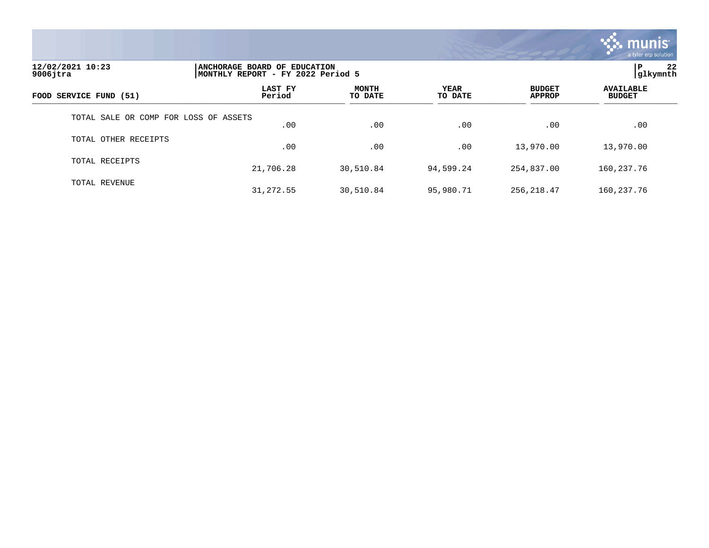

| 12/02/2021 10:23<br>$9006$ jtra       |                   | ANCHORAGE BOARD OF EDUCATION<br>MONTHLY REPORT - FY 2022 Period 5 |                 |                                |                                   |  |  |
|---------------------------------------|-------------------|-------------------------------------------------------------------|-----------------|--------------------------------|-----------------------------------|--|--|
| FOOD SERVICE FUND (51)                | LAST FY<br>Period | <b>MONTH</b><br>TO DATE                                           | YEAR<br>TO DATE | <b>BUDGET</b><br><b>APPROP</b> | <b>AVAILABLE</b><br><b>BUDGET</b> |  |  |
| TOTAL SALE OR COMP FOR LOSS OF ASSETS | .00               | .00                                                               | .00             | .00                            | .00                               |  |  |
| TOTAL OTHER RECEIPTS                  | .00               | .00                                                               | .00             | 13,970.00                      | 13,970.00                         |  |  |
| TOTAL RECEIPTS                        | 21,706.28         | 30,510.84                                                         | 94,599.24       | 254,837.00                     | 160, 237. 76                      |  |  |
| TOTAL REVENUE                         | 31, 272.55        | 30,510.84                                                         | 95,980.71       | 256,218.47                     | 160, 237. 76                      |  |  |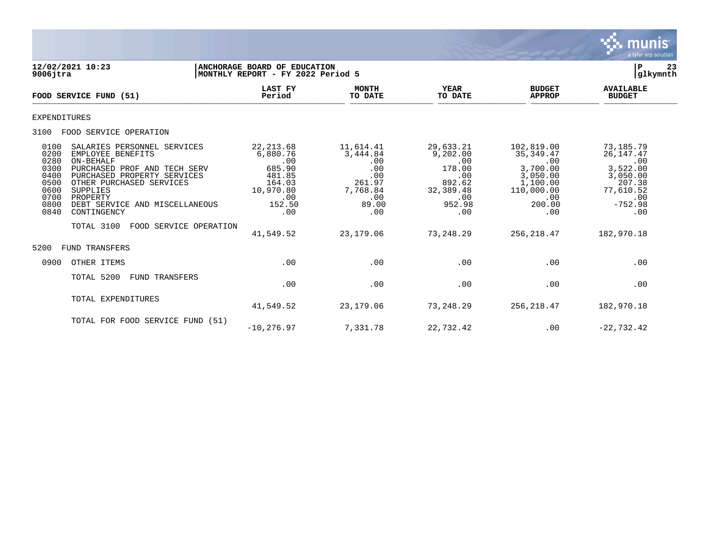

| 12/02/2021 10:23<br>$9006$ jtra                                                                                                                                                                                                                                                                                                                           | ANCHORAGE BOARD OF EDUCATION<br>MONTHLY REPORT - FY 2022 Period 5                                |                                                                                         |                                                                                              |                                                                                                           | 23<br>P<br>glkymnth                                                                                       |
|-----------------------------------------------------------------------------------------------------------------------------------------------------------------------------------------------------------------------------------------------------------------------------------------------------------------------------------------------------------|--------------------------------------------------------------------------------------------------|-----------------------------------------------------------------------------------------|----------------------------------------------------------------------------------------------|-----------------------------------------------------------------------------------------------------------|-----------------------------------------------------------------------------------------------------------|
| FOOD SERVICE FUND (51)                                                                                                                                                                                                                                                                                                                                    | <b>LAST FY</b><br>Period                                                                         | <b>MONTH</b><br>TO DATE                                                                 | <b>YEAR</b><br>TO DATE                                                                       | <b>BUDGET</b><br><b>APPROP</b>                                                                            | <b>AVAILABLE</b><br><b>BUDGET</b>                                                                         |
| <b>EXPENDITURES</b>                                                                                                                                                                                                                                                                                                                                       |                                                                                                  |                                                                                         |                                                                                              |                                                                                                           |                                                                                                           |
| FOOD SERVICE OPERATION<br>3100                                                                                                                                                                                                                                                                                                                            |                                                                                                  |                                                                                         |                                                                                              |                                                                                                           |                                                                                                           |
| 0100<br>SALARIES PERSONNEL SERVICES<br>0200<br>EMPLOYEE BENEFITS<br>0280<br>ON-BEHALF<br>0300<br>PURCHASED PROF AND TECH SERV<br>0400<br>PURCHASED PROPERTY SERVICES<br>0500<br>OTHER PURCHASED SERVICES<br>SUPPLIES<br>0600<br>0700<br>PROPERTY<br>0800<br>DEBT SERVICE AND MISCELLANEOUS<br>0840<br>CONTINGENCY<br>TOTAL 3100<br>FOOD SERVICE OPERATION | 22, 213.68<br>6,880.76<br>.00<br>685.90<br>481.85<br>164.03<br>10,970.80<br>.00<br>152.50<br>.00 | 11,614.41<br>3,444.84<br>.00<br>.00<br>.00<br>261.97<br>7,768.84<br>.00<br>89.00<br>.00 | 29,633.21<br>9,202.00<br>.00<br>178.00<br>.00<br>892.62<br>32,389.48<br>.00<br>952.98<br>.00 | 102,819.00<br>35, 349.47<br>.00<br>3,700.00<br>3,050.00<br>1,100.00<br>110,000.00<br>.00<br>200.00<br>.00 | 73,185.79<br>26, 147. 47<br>.00<br>3,522.00<br>3,050.00<br>207.38<br>77,610.52<br>.00<br>$-752.98$<br>.00 |
|                                                                                                                                                                                                                                                                                                                                                           | 41,549.52                                                                                        | 23,179.06                                                                               | 73,248.29                                                                                    | 256, 218.47                                                                                               | 182,970.18                                                                                                |
| <b>FUND TRANSFERS</b><br>5200                                                                                                                                                                                                                                                                                                                             |                                                                                                  |                                                                                         |                                                                                              |                                                                                                           |                                                                                                           |
| OTHER ITEMS<br>0900                                                                                                                                                                                                                                                                                                                                       | .00                                                                                              | .00                                                                                     | .00                                                                                          | .00                                                                                                       | .00                                                                                                       |
| TOTAL 5200<br><b>FUND TRANSFERS</b>                                                                                                                                                                                                                                                                                                                       | .00                                                                                              | .00                                                                                     | .00                                                                                          | .00                                                                                                       | .00                                                                                                       |
| TOTAL EXPENDITURES                                                                                                                                                                                                                                                                                                                                        | 41,549.52                                                                                        | 23, 179.06                                                                              | 73,248.29                                                                                    | 256, 218.47                                                                                               | 182,970.18                                                                                                |
| TOTAL FOR FOOD SERVICE FUND (51)                                                                                                                                                                                                                                                                                                                          | $-10, 276.97$                                                                                    | 7,331.78                                                                                | 22,732.42                                                                                    | .00                                                                                                       | $-22, 732.42$                                                                                             |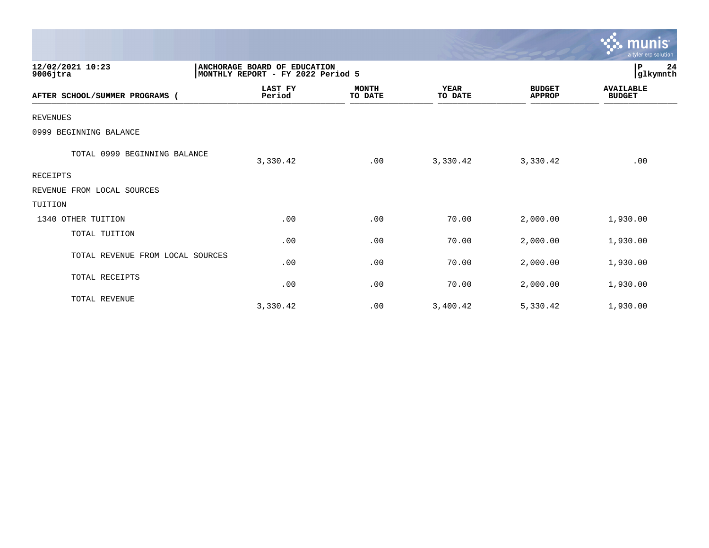|                                  |                                                                   |                         |                        |                                | munis<br>a tyler erp solution     |
|----------------------------------|-------------------------------------------------------------------|-------------------------|------------------------|--------------------------------|-----------------------------------|
| 12/02/2021 10:23<br>$9006$ jtra  | ANCHORAGE BOARD OF EDUCATION<br>MONTHLY REPORT - FY 2022 Period 5 |                         |                        |                                | 24<br>P<br>glkymnth               |
| AFTER SCHOOL/SUMMER PROGRAMS (   | LAST FY<br>Period                                                 | <b>MONTH</b><br>TO DATE | <b>YEAR</b><br>TO DATE | <b>BUDGET</b><br><b>APPROP</b> | <b>AVAILABLE</b><br><b>BUDGET</b> |
| <b>REVENUES</b>                  |                                                                   |                         |                        |                                |                                   |
| 0999 BEGINNING BALANCE           |                                                                   |                         |                        |                                |                                   |
| TOTAL 0999 BEGINNING BALANCE     | 3,330.42                                                          | .00                     | 3,330.42               | 3,330.42                       | .00                               |
| RECEIPTS                         |                                                                   |                         |                        |                                |                                   |
| REVENUE FROM LOCAL SOURCES       |                                                                   |                         |                        |                                |                                   |
| TUITION                          |                                                                   |                         |                        |                                |                                   |
| 1340 OTHER TUITION               | .00                                                               | .00                     | 70.00                  | 2,000.00                       | 1,930.00                          |
| TOTAL TUITION                    | .00                                                               | .00                     | 70.00                  | 2,000.00                       | 1,930.00                          |
| TOTAL REVENUE FROM LOCAL SOURCES | .00                                                               | .00                     | 70.00                  | 2,000.00                       | 1,930.00                          |
| TOTAL RECEIPTS                   | .00                                                               | .00                     | 70.00                  | 2,000.00                       | 1,930.00                          |
| TOTAL REVENUE                    | 3,330.42                                                          | .00                     | 3,400.42               | 5,330.42                       | 1,930.00                          |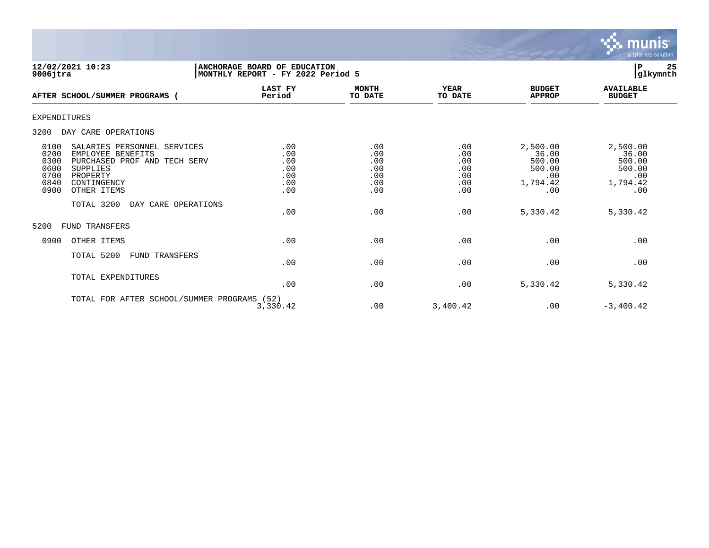

**12/02/2021 10:23 |ANCHORAGE BOARD OF EDUCATION |P 25** MONTHLY REPORT - FY 2022 Period 5  **LAST FY MONTH YEAR BUDGET AVAILABLE AFTER SCHOOL/SUMMER PROGRAMS ( Period TO DATE TO DATE APPROP BUDGET**  AFTER SCROOLS SORRER PROGRAMS ( FELLOG FELLOG ) TO DALE EXPENDITURES 3200 DAY CARE OPERATIONS 0100 SALARIES PERSONNEL SERVICES .00 .00 .00 2,500.00 2,500.00 0200 EMPLOYEE BENEFITS .00 .00 .00 36.00 36.00 0300 PURCHASED PROF AND TECH SERV .00 .00 .00 500.00 500.00 0600 SUPPLIES .00 .00 .00 500.00 500.00 0700 PROPERTY .00 .00 .00 .00 .00 0840 CONTINGENCY .00 .00 .00 1,794.42 1,794.42 0900 OTHER ITEMS TOTAL 3200 DAY CARE OPERATIONS  $.00$   $.00$   $.00$   $.030$   $.00$   $.030$   $.02$   $.030$   $.02$   $.030$   $.02$   $.030$   $.02$   $.030$   $.02$   $.030$   $.042$ 5200 FUND TRANSFERS 0900 OTHER ITEMS .00 .00 .00 .00 .00 TOTAL 5200 FUND TRANSFERS  $.00$  .  $.00$  .  $.00$  .  $.00$  .  $.00$  .  $.00$  .  $.00$  .  $.00$  .  $.00$  .  $.00$  .  $.00$  .  $.00$  .  $.00$  .  $.00$  .  $.00$  .  $.00$  .  $.00$  .  $.00$  .  $.00$  .  $.00$  .  $.00$  .  $.00$  .  $.00$  .  $.00$  .  $.00$  .  $.00$  .  $.00$  .  $.00$ TOTAL EXPENDITURES  $.00$   $.00$   $.00$   $.030$   $.00$   $.030$   $.02$   $.030$   $.02$   $.030$   $.02$   $.030$   $.02$   $.030$   $.02$   $.030$   $.042$ TOTAL FOR AFTER SCHOOL/SUMMER PROGRAMS (52) 3,330.42 .00 3,400.42 .00 -3,400.42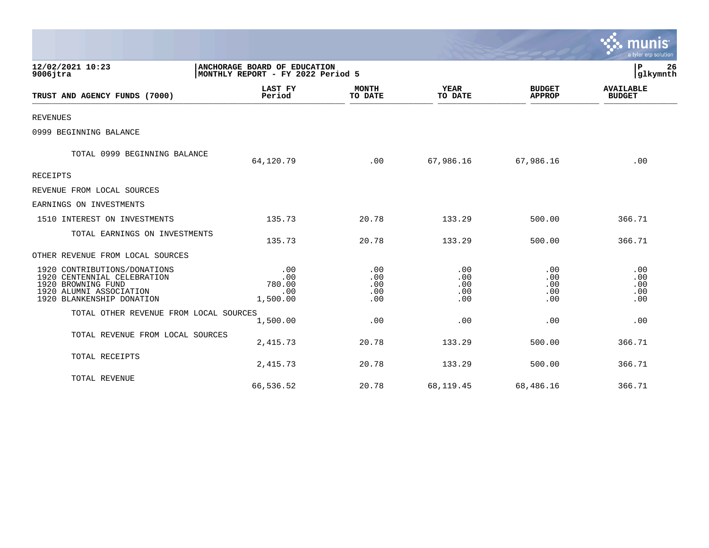|                                                                                                                                           |                                                                   |                                 |                                 |                                 | a tyler erp solution              |
|-------------------------------------------------------------------------------------------------------------------------------------------|-------------------------------------------------------------------|---------------------------------|---------------------------------|---------------------------------|-----------------------------------|
| 12/02/2021 10:23<br>$9006$ jtra                                                                                                           | ANCHORAGE BOARD OF EDUCATION<br>MONTHLY REPORT - FY 2022 Period 5 |                                 |                                 |                                 | P<br>26<br>glkymnth               |
| TRUST AND AGENCY FUNDS (7000)                                                                                                             | <b>LAST FY</b><br>Period                                          | <b>MONTH</b><br>TO DATE         | <b>YEAR</b><br>TO DATE          | <b>BUDGET</b><br><b>APPROP</b>  | <b>AVAILABLE</b><br><b>BUDGET</b> |
| <b>REVENUES</b>                                                                                                                           |                                                                   |                                 |                                 |                                 |                                   |
| 0999 BEGINNING BALANCE                                                                                                                    |                                                                   |                                 |                                 |                                 |                                   |
| TOTAL 0999 BEGINNING BALANCE                                                                                                              | 64,120.79                                                         | .00                             | 67,986.16                       | 67,986.16                       | .00                               |
| RECEIPTS                                                                                                                                  |                                                                   |                                 |                                 |                                 |                                   |
| REVENUE FROM LOCAL SOURCES                                                                                                                |                                                                   |                                 |                                 |                                 |                                   |
| EARNINGS ON INVESTMENTS                                                                                                                   |                                                                   |                                 |                                 |                                 |                                   |
| 1510 INTEREST ON INVESTMENTS                                                                                                              | 135.73                                                            | 20.78                           | 133.29                          | 500.00                          | 366.71                            |
| TOTAL EARNINGS ON INVESTMENTS                                                                                                             | 135.73                                                            | 20.78                           | 133.29                          | 500.00                          | 366.71                            |
| OTHER REVENUE FROM LOCAL SOURCES                                                                                                          |                                                                   |                                 |                                 |                                 |                                   |
| 1920 CONTRIBUTIONS/DONATIONS<br>1920 CENTENNIAL CELEBRATION<br>1920 BROWNING FUND<br>1920 ALUMNI ASSOCIATION<br>1920 BLANKENSHIP DONATION | .00<br>.00<br>780.00<br>.00<br>1,500.00                           | .00<br>.00<br>.00<br>.00<br>.00 | .00<br>.00<br>.00<br>.00<br>.00 | .00<br>.00<br>.00<br>.00<br>.00 | .00<br>.00<br>.00<br>.00<br>.00   |
| TOTAL OTHER REVENUE FROM LOCAL SOURCES                                                                                                    | 1,500.00                                                          | .00                             | .00                             | .00                             | .00                               |
| TOTAL REVENUE FROM LOCAL SOURCES                                                                                                          | 2,415.73                                                          | 20.78                           | 133.29                          | 500.00                          | 366.71                            |
| TOTAL RECEIPTS                                                                                                                            | 2,415.73                                                          | 20.78                           | 133.29                          | 500.00                          | 366.71                            |
| TOTAL REVENUE                                                                                                                             | 66,536.52                                                         | 20.78                           | 68,119.45                       | 68,486.16                       | 366.71                            |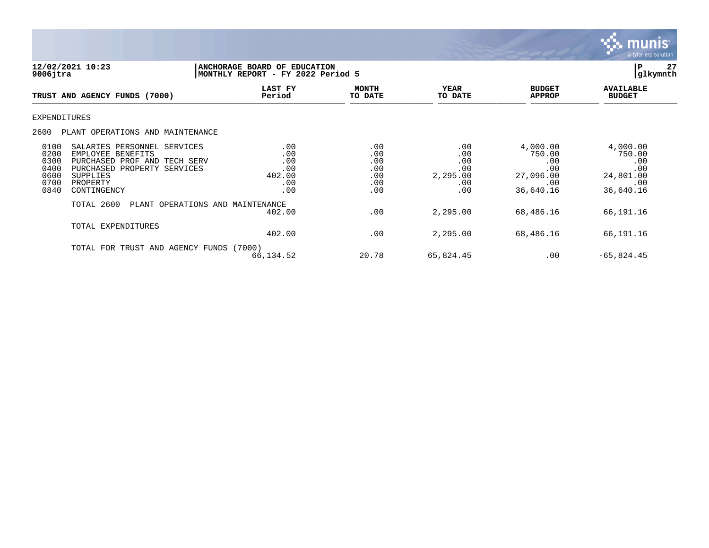

| 12/02/2021 10:23<br>$9006$ jtra                                                                                                                                                                                |                                                  | 27<br><b>ANCHORAGE BOARD OF EDUCATION</b><br> P<br> glkymnth<br>MONTHLY REPORT - FY 2022 Period 5 |                                                    |                                                                   |                                                                   |  |
|----------------------------------------------------------------------------------------------------------------------------------------------------------------------------------------------------------------|--------------------------------------------------|---------------------------------------------------------------------------------------------------|----------------------------------------------------|-------------------------------------------------------------------|-------------------------------------------------------------------|--|
| TRUST AND AGENCY FUNDS (7000)                                                                                                                                                                                  | LAST FY<br>Period                                | <b>MONTH</b><br>TO DATE                                                                           | <b>YEAR</b><br>TO DATE                             | <b>BUDGET</b><br><b>APPROP</b>                                    | <b>AVAILABLE</b><br><b>BUDGET</b>                                 |  |
| <b>EXPENDITURES</b>                                                                                                                                                                                            |                                                  |                                                                                                   |                                                    |                                                                   |                                                                   |  |
| 2600<br>PLANT OPERATIONS AND MAINTENANCE                                                                                                                                                                       |                                                  |                                                                                                   |                                                    |                                                                   |                                                                   |  |
| 0100<br>SALARIES PERSONNEL SERVICES<br>0200<br>EMPLOYEE BENEFITS<br>0300<br>PURCHASED PROF AND TECH SERV<br>0400<br>PURCHASED PROPERTY SERVICES<br>0600<br>SUPPLIES<br>0700<br>PROPERTY<br>0840<br>CONTINGENCY | .00<br>.00<br>.00<br>.00<br>402.00<br>.00<br>.00 | .00<br>.00<br>.00<br>.00<br>.00<br>.00<br>.00                                                     | .00<br>.00<br>.00<br>.00<br>2,295.00<br>.00<br>.00 | 4,000.00<br>750.00<br>.00<br>.00<br>27,096.00<br>.00<br>36,640.16 | 4,000.00<br>750.00<br>.00<br>.00<br>24,801.00<br>.00<br>36,640.16 |  |
| TOTAL 2600                                                                                                                                                                                                     | PLANT OPERATIONS AND MAINTENANCE<br>402.00       | .00                                                                                               | 2,295.00                                           | 68,486.16                                                         | 66,191.16                                                         |  |
| TOTAL EXPENDITURES                                                                                                                                                                                             | 402.00                                           | .00                                                                                               | 2,295.00                                           | 68,486.16                                                         | 66,191.16                                                         |  |
| TOTAL FOR                                                                                                                                                                                                      | TRUST AND AGENCY FUNDS (7000)<br>66,134.52       | 20.78                                                                                             | 65,824.45                                          | .00                                                               | $-65,824.45$                                                      |  |